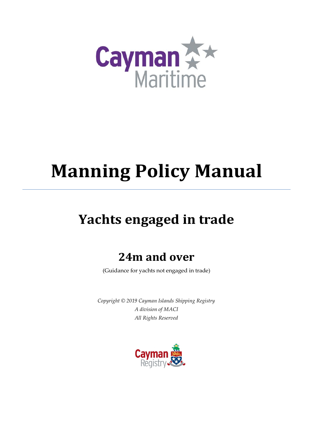

# **Manning Policy Manual**

## **Yachts engaged in trade**

## **24m and over**

(Guidance for yachts not engaged in trade)

*Copyright © 2019 Cayman Islands Shipping Registry A division of MACI All Rights Reserved*

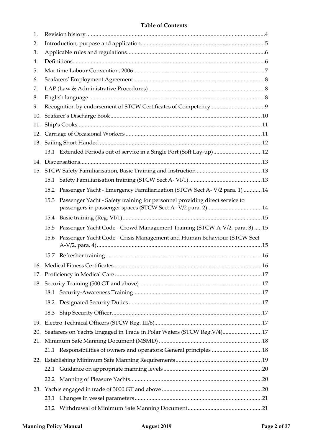| 1.  |      |                                                                             |  |
|-----|------|-----------------------------------------------------------------------------|--|
| 2.  |      |                                                                             |  |
| 3.  |      |                                                                             |  |
| 4.  |      |                                                                             |  |
| 5.  |      |                                                                             |  |
| 6.  |      |                                                                             |  |
| 7.  |      |                                                                             |  |
| 8.  |      |                                                                             |  |
| 9.  |      |                                                                             |  |
| 10. |      |                                                                             |  |
| 11. |      |                                                                             |  |
|     |      |                                                                             |  |
|     |      |                                                                             |  |
|     |      | 13.1 Extended Periods out of service in a Single Port (Soft Lay-up)12       |  |
|     |      |                                                                             |  |
|     |      |                                                                             |  |
|     | 15.1 |                                                                             |  |
|     | 15.2 | Passenger Yacht - Emergency Familiarization (STCW Sect A-V/2 para. 1) 14    |  |
|     | 15.3 | Passenger Yacht - Safety training for personnel providing direct service to |  |
|     | 15.4 |                                                                             |  |
|     |      |                                                                             |  |
|     | 15.5 | Passenger Yacht Code - Crowd Management Training (STCW A-V/2, para. 3)  15  |  |
|     | 15.6 |                                                                             |  |
|     |      | Passenger Yacht Code - Crisis Management and Human Behaviour (STCW Sect     |  |
|     |      |                                                                             |  |
|     |      |                                                                             |  |
|     |      |                                                                             |  |
|     |      |                                                                             |  |
|     |      |                                                                             |  |
|     |      |                                                                             |  |
|     | 18.3 |                                                                             |  |
|     |      |                                                                             |  |
|     |      |                                                                             |  |
| 21. |      | 20. Seafarers on Yachts Engaged in Trade in Polar Waters (STCW Reg. V/4)17  |  |
|     |      |                                                                             |  |
|     |      | 21.1 Responsibilities of owners and operators: General principles 18        |  |
|     |      |                                                                             |  |
|     |      |                                                                             |  |
|     |      |                                                                             |  |
|     | 23.1 |                                                                             |  |
|     | 23.2 |                                                                             |  |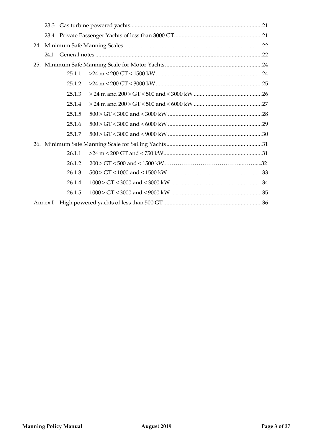|     | 24.1    |        |  |  |  |  |  |  |  |
|-----|---------|--------|--|--|--|--|--|--|--|
| 25. |         |        |  |  |  |  |  |  |  |
|     |         | 25.1.1 |  |  |  |  |  |  |  |
|     |         | 25.1.2 |  |  |  |  |  |  |  |
|     |         | 25.1.3 |  |  |  |  |  |  |  |
|     |         | 25.1.4 |  |  |  |  |  |  |  |
|     |         | 25.1.5 |  |  |  |  |  |  |  |
|     |         | 25.1.6 |  |  |  |  |  |  |  |
|     |         | 25.1.7 |  |  |  |  |  |  |  |
|     |         |        |  |  |  |  |  |  |  |
|     |         | 26.1.1 |  |  |  |  |  |  |  |
|     |         | 26.1.2 |  |  |  |  |  |  |  |
|     |         | 26.1.3 |  |  |  |  |  |  |  |
|     |         | 26.1.4 |  |  |  |  |  |  |  |
|     |         | 26.1.5 |  |  |  |  |  |  |  |
|     | Annex I |        |  |  |  |  |  |  |  |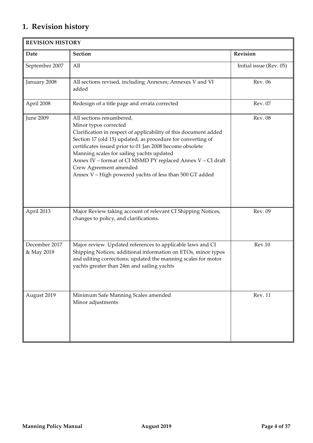## <span id="page-3-0"></span>**1. Revision history**

| <b>REVISION HISTORY</b>     |                                                                                                                                                                                                                                                                                                                                                                                                                                                   |                         |  |  |  |  |  |  |
|-----------------------------|---------------------------------------------------------------------------------------------------------------------------------------------------------------------------------------------------------------------------------------------------------------------------------------------------------------------------------------------------------------------------------------------------------------------------------------------------|-------------------------|--|--|--|--|--|--|
| Date                        | <b>Section</b>                                                                                                                                                                                                                                                                                                                                                                                                                                    | Revision                |  |  |  |  |  |  |
| September 2007              | All                                                                                                                                                                                                                                                                                                                                                                                                                                               | Initial issue (Rev. 05) |  |  |  |  |  |  |
| January 2008                | All sections revised, including Annexes; Annexes V and VI<br>added                                                                                                                                                                                                                                                                                                                                                                                | Rev. 06                 |  |  |  |  |  |  |
| April 2008                  | Redesign of a title page and errata corrected                                                                                                                                                                                                                                                                                                                                                                                                     | Rev. 07                 |  |  |  |  |  |  |
| <b>June 2009</b>            | All sections renumbered,<br>Minor typos corrected<br>Clarification in respect of applicability of this document added<br>Section 17 (old 15) updated, as procedure for converting of<br>certificates issued prior to 01 Jan 2008 become obsolete<br>Manning scales for sailing yachts updated<br>Annex IV - format of CI MSMD PY replaced Annex V - CI draft<br>Crew Agreement amended<br>Annex V - High powered yachts of less than 500 GT added | <b>Rev. 08</b>          |  |  |  |  |  |  |
| April 2013                  | Major Review taking account of relevant CI Shipping Notices,<br>changes to policy, and clarifications.                                                                                                                                                                                                                                                                                                                                            | Rev. 09                 |  |  |  |  |  |  |
| December 2017<br>& May 2018 | Major review. Updated references to applicable laws and CI<br>Shipping Notices; additional information on ETOs, minor typos<br>and editing corrections; updated the manning scales for motor<br>yachts greater than 24m and sailing yachts                                                                                                                                                                                                        | Rev.10                  |  |  |  |  |  |  |
| August 2019                 | Minimum Safe Manning Scales amended<br>Minor adjustments                                                                                                                                                                                                                                                                                                                                                                                          | <b>Rev. 11</b>          |  |  |  |  |  |  |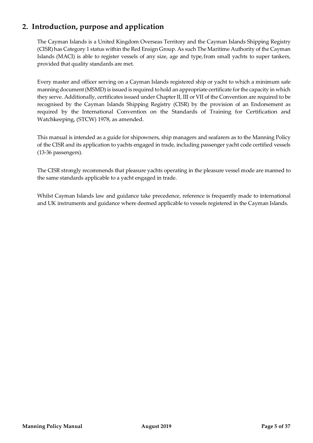## <span id="page-4-0"></span>**2. Introduction, purpose and application**

The Cayman Islands is a United Kingdom Overseas Territory and the Cayman Islands Shipping Registry (CISR) has Category 1 status within the Red Ensign Group. As such The Maritime Authority of the Cayman Islands (MACI) is able to register vessels of any size, age and type,from small yachts to super tankers, provided that quality standards are met.

Every master and officer serving on a Cayman Islands registered ship or yacht to which a minimum safe manning document(MSMD) is issued is required to hold an appropriate certificate for the capacity in which they serve. Additionally, certificates issued under Chapter II, III or VII of the Convention are required to be recognised by the Cayman Islands Shipping Registry (CISR) by the provision of an Endorsement as required by the International Convention on the Standards of Training for Certification and Watchkeeping, (STCW) 1978, as amended.

This manual is intended as a guide for shipowners, ship managers and seafarers as to the Manning Policy of the CISR and its application to yachts engaged in trade, including passenger yacht code certified vessels (13-36 passengers).

The CISR strongly recommends that pleasure yachts operating in the pleasure vessel mode are manned to the same standards applicable to a yacht engaged in trade.

Whilst Cayman Islands law and guidance take precedence, reference is frequently made to international and UK instruments and guidance where deemed applicable to vessels registered in the Cayman Islands.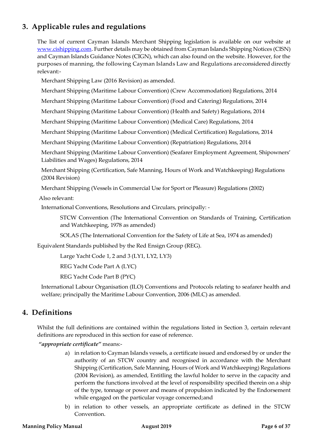## <span id="page-5-0"></span>**3. Applicable rules and regulations**

The list of current Cayman Islands Merchant Shipping legislation is available on our website at [www.cishipping.com.](http://www.cishipping.com/) Further details may be obtained from Cayman Islands Shipping Notices (CISN) and Cayman Islands Guidance Notes (CIGN), which can also found on the website. However, for the purposes of manning, the following Cayman Islands Law and Regulations areconsidered directly relevant:-

Merchant Shipping Law (2016 Revision) as amended.

Merchant Shipping (Maritime Labour Convention) (Crew Accommodation) Regulations, 2014

Merchant Shipping (Maritime Labour Convention) (Food and Catering) Regulations, 2014

Merchant Shipping (Maritime Labour Convention) (Health and Safety) Regulations, 2014

Merchant Shipping (Maritime Labour Convention) (Medical Care) Regulations, 2014

Merchant Shipping (Maritime Labour Convention) (Medical Certification) Regulations, 2014

Merchant Shipping (Maritime Labour Convention) (Repatriation) Regulations, 2014

Merchant Shipping (Maritime Labour Convention) (Seafarer Employment Agreement, Shipowners' Liabilities and Wages) Regulations, 2014

Merchant Shipping (Certification, Safe Manning, Hours of Work and Watchkeeping) Regulations (2004 Revision)

Merchant Shipping (Vessels in Commercial Use for Sport or Pleasure) Regulations (2002)

Also relevant:

International Conventions, Resolutions and Circulars, principally: -

STCW Convention (The International Convention on Standards of Training, Certification and Watchkeeping, 1978 as amended)

SOLAS (The International Convention for the Safety of Life at Sea, 1974 as amended)

Equivalent Standards published by the Red Ensign Group (REG).

Large Yacht Code 1, 2 and 3 (LY1, LY2, LY3)

REG Yacht Code Part A (LYC)

REG Yacht Code Part B (PYC)

International Labour Organisation (ILO) Conventions and Protocols relating to seafarer health and welfare; principally the Maritime Labour Convention, 2006 (MLC) as amended.

## <span id="page-5-1"></span>**4. Definitions**

Whilst the full definitions are contained within the regulations listed in Section 3, certain relevant definitions are reproduced in this section for ease of reference.

*"appropriate certificate"* means:-

- a) in relation to Cayman Islands vessels, a certificate issued and endorsed by or under the authority of an STCW country and recognised in accordance with the Merchant Shipping (Certification, Safe Manning, Hours of Work and Watchkeeping) Regulations (2004 Revision), as amended, Entitling the lawful holder to serve in the capacity and perform the functions involved at the level of responsibility specified therein on a ship of the type, tonnage or power and means of propulsion indicated by the Endorsement while engaged on the particular voyage concerned;and
- b) in relation to other vessels, an appropriate certificate as defined in the STCW Convention.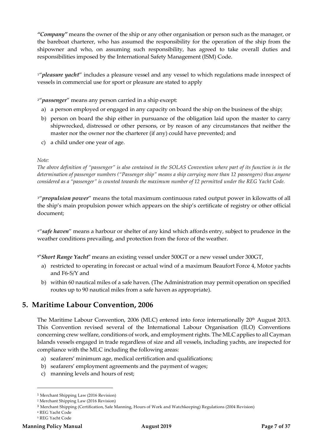*"Company"* means the owner of the ship or any other organisation or person such as the manager, or the bareboat charterer, who has assumed the responsibility for the operation of the ship from the shipowner and who, on assuming such responsibility, has agreed to take overall duties and responsibilities imposed by the International Safety Management (ISM) Code.

<sup>[1](#page-6-1)"</sup>pleasure yacht" includes a pleasure vessel and any vessel to which regulations made inrespect of vessels in commercial use for sport or pleasure are stated to apply

<sup>[2](#page-6-2)"</sup>*passenger*" means any person carried in a ship except:

- a) a person employed or engaged in any capacity on board the ship on the business of the ship;
- b) person on board the ship either in pursuance of the obligation laid upon the master to carry shipwrecked, distressed or other persons, or by reason of any circumstances that neither the master nor the owner nor the charterer (if any) could have prevented; and
- c) a child under one year of age.

#### *Note:*

*The above definition of "passenger" is also contained in the SOLAS Convention where part of its function is in the determination of passenger numbers ("Passenger ship" means a ship carrying more than 12 passengers) thus anyone considered as a "passenger" is counted towards the maximum number of 12 permitted under the REG Yacht Code.*

<sup>[3](#page-6-3)"</sup> propulsion power<sup>"</sup> means the total maximum continuous rated output power in kilowatts of all the ship's main propulsion power which appears on the ship's certificate of registry or other official document;

<sup>[4](#page-6-4)"</sup> safe haven" means a harbour or shelter of any kind which affords entry, subject to prudence in the weather conditions prevailing, and protection from the force of the weather.

**[5](#page-6-5)"***Short Range Yacht***"** means an existing vessel under 500GT or a new vessel under 300GT,

- a) restricted to operating in forecast or actual wind of a maximum Beaufort Force 4, Motor yachts and F6-S/Y and
- b) within 60 nautical miles of a safe haven. (The Administration may permit operation on specified routes up to 90 nautical miles from a safe haven as appropriate).

## <span id="page-6-0"></span>**5. Maritime Labour Convention, 2006**

The Maritime Labour Convention, 2006 (MLC) entered into force internationally 20<sup>th</sup> August 2013. This Convention revised several of the International Labour Organisation (ILO) Conventions concerning crew welfare, conditions of work, and employment rights. The MLC applies to all Cayman Islands vessels engaged in trade regardless of size and all vessels, including yachts, are inspected for compliance with the MLC including the following areas:

- a) seafarers' minimum age, medical certification and qualifications;
- b) seafarers' employment agreements and the payment of wages;
- c) manning levels and hours of rest;

<span id="page-6-4"></span><span id="page-6-3"></span><sup>4</sup> REG Yacht Code

 $\overline{a}$ 

<span id="page-6-1"></span><sup>1</sup> Merchant Shipping Law (2016 Revision)

<span id="page-6-2"></span><sup>2</sup> Merchant Shipping Law (2016 Revision)

<sup>3</sup> Merchant Shipping (Certification, Safe Manning, Hours of Work and Watchkeeping) Regulations (2004 Revision)

<span id="page-6-5"></span><sup>5</sup> REG Yacht Code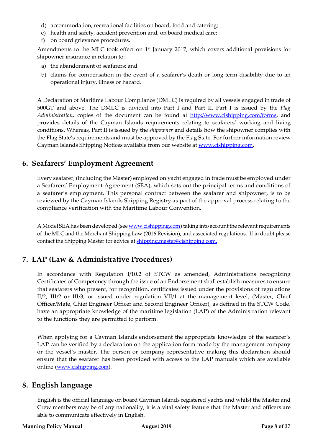- d) accommodation, recreational facilities on board, food and catering;
- e) health and safety, accident prevention and, on board medical care;
- f) on board grievance procedures.

Amendments to the MLC took effect on 1<sup>st</sup> January 2017, which covers additional provisions for shipowner insurance in relation to:

- a) the abandonment of seafarers; and
- b) claims for compensation in the event of a seafarer's death or long-term disability due to an operational injury, illness or hazard.

A Declaration of Maritime Labour Compliance (DMLC) is required by all vessels engaged in trade of 500GT and above. The DMLC is divided into Part I and Part II. Part I is issued by the *Flag Administration*, copies of the document can be found at [http://www.cishipping.com/forms,](http://www.cishipping.com/forms) and provides details of the Cayman Islands requirements relating to seafarers' working and living conditions. Whereas, Part II is issued by the *shipowner* and details how the shipowner complies with the Flag State's requirements and must be approved by the Flag State. For further information review Cayman Islands Shipping Notices available from our website a[t www.cishipping.com.](http://www.cishipping.com/)

## <span id="page-7-0"></span>**6. Seafarers' Employment Agreement**

Every seafarer, (including the Master) employed on yacht engaged in trade must be employed under a Seafarers' Employment Agreement (SEA), which sets out the principal terms and conditions of a seafarer's employment. This personal contract between the seafarer and shipowner, is to be reviewed by the Cayman Islands Shipping Registry as part of the approval process relating to the compliance verification with the Maritime Labour Convention.

A Model SEA has been developed (se[e www.cishipping.com\)](http://www.cishipping.com/) taking into account the relevant requirements of the MLC and the Merchant Shipping Law (2016 Revision), and associated regulations. If in doubt please contact the Shipping Master for advice at [shipping.master@cishipping.com.](mailto:shipping.master@cishipping.com)

## <span id="page-7-1"></span>**7. LAP (Law & Administrative Procedures)**

In accordance with Regulation I/10.2 of STCW as amended, Administrations recognizing Certificates of Competency through the issue of an Endorsement shall establish measures to ensure that seafarers who present, for recognition, certificates issued under the provisions of regulations II/2, III/2 or III/3, or issued under regulation VII/1 at the management level, (Master, Chief Officer/Mate, Chief Engineer Officer and Second Engineer Officer), as defined in the STCW Code, have an appropriate knowledge of the maritime legislation (LAP) of the Administration relevant to the functions they are permitted to perform.

When applying for a Cayman Islands endorsement the appropriate knowledge of the seafarer's LAP can be verified by a declaration on the application form made by the management company or the vessel's master. The person or company representative making this declaration should ensure that the seafarer has been provided with access to the LAP manuals which are available online [\(www.cishipping.com\)](http://www.cishipping.com/).

## <span id="page-7-2"></span>**8. English language**

English is the official language on board Cayman Islands registered yachts and whilst the Master and Crew members may be of any nationality, it is a vital safety feature that the Master and officers are able to communicate effectively in English.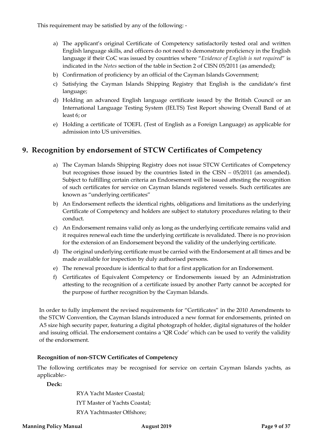This requirement may be satisfied by any of the following: -

- a) The applicant's original Certificate of Competency satisfactorily tested oral and written English language skills, and officers do not need to demonstrate proficiency in the English language if their CoC was issued by countries where "*Evidence of English is not required*" is indicated in the *Notes* section of the table in Section 2 of CISN 05/2011 (as amended);
- b) Confirmation of proficiency by an official of the Cayman Islands Government;
- c) Satisfying the Cayman Islands Shipping Registry that English is the candidate's first language;
- d) Holding an advanced English language certificate issued by the British Council or an International Language Testing System (IELTS) Test Report showing Overall Band of at least 6; or
- e) Holding a certificate of TOEFL (Test of English as a Foreign Language) as applicable for admission into US universities.

## <span id="page-8-0"></span>**9. Recognition by endorsement of STCW Certificates of Competency**

- a) The Cayman Islands Shipping Registry does not issue STCW Certificates of Competency but recognises those issued by the countries listed in the CISN – 05/2011 (as amended). Subject to fulfilling certain criteria an Endorsement will be issued attesting the recognition of such certificates for service on Cayman Islands registered vessels. Such certificates are known as "underlying certificates"
- b) An Endorsement reflects the identical rights, obligations and limitations as the underlying Certificate of Competency and holders are subject to statutory procedures relating to their conduct.
- c) An Endorsement remains valid only as long as the underlying certificate remains valid and it requires renewal each time the underlying certificate is revalidated. There is no provision for the extension of an Endorsement beyond the validity of the underlying certificate.
- d) The original underlying certificate must be carried with the Endorsement at all times and be made available for inspection by duly authorised persons.
- e) The renewal procedure is identical to that for a first application for an Endorsement.
- f) Certificates of Equivalent Competency or Endorsements issued by an Administration attesting to the recognition of a certificate issued by another Party cannot be accepted for the purpose of further recognition by the Cayman Islands.

In order to fully implement the revised requirements for "Certificates" in the 2010 Amendments to the STCW Convention, the Cayman Islands introduced a new format for endorsements, printed on A5 size high security paper, featuring a digital photograph of holder, digital signatures of the holder and issuing official. The endorsement contains a 'QR Code' which can be used to verify the validity of the endorsement.

#### **Recognition of non-STCW Certificates of Competency**

The following certificates may be recognised for service on certain Cayman Islands yachts, as applicable:-

**Deck:**

RYA Yacht Master Coastal; IYT Master of Yachts Coastal; RYA Yachtmaster Offshore;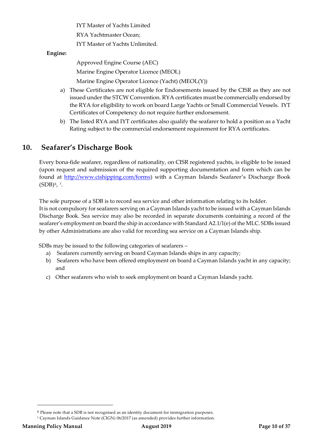IYT Master of Yachts Limited

RYA Yachtmaster Ocean;

IYT Master of Yachts Unlimited.

#### **Engine:**

Approved Engine Course (AEC) Marine Engine Operator Licence (MEOL)

Marine Engine Operator Licence (Yacht) (MEOL(Y))

- a) These Certificates are not eligible for Endorsements issued by the CISR as they are not issued under the STCW Convention. RYA certificates must be commercially endorsed by the RYA for eligibility to work on board Large Yachts or Small Commercial Vessels. IYT Certificates of Competency do not require further endorsement.
- b) The listed RYA and IYT certificates also qualify the seafarer to hold a position as a Yacht Rating subject to the commercial endorsement requirement for RYA certificates.

## <span id="page-9-0"></span>**10. Seafarer's Discharge Book**

Every bona-fide seafarer, regardless of nationality, on CISR registered yachts, is eligible to be issued (upon request and submission of the required supporting documentation and form which can be found at [http://www.cishipping.com/forms\)](http://www.cishipping.com/forms) with a Cayman Islands Seafarer's Discharge Book  $(SDB)^6$  $(SDB)^6$ , [7](#page-9-2).

The sole purpose of a SDB is to record sea service and other information relating to its holder.

It is not compulsory for seafarers serving on a Cayman Islands yacht to be issued with a Cayman Islands Discharge Book. Sea service may also be recorded in separate documents containing a record of the seafarer's employment on board the ship in accordance with Standard A2.1/1(e) of the MLC. SDBs issued by other Administrations are also valid for recording sea service on a Cayman Islands ship.

SDBs may be issued to the following categories of seafarers –

- a) Seafarers currently serving on board Cayman Islands ships in any capacity;
- b) Seafarers who have been offered employment on board a Cayman Islands yacht in any capacity; and
- c) Other seafarers who wish to seek employment on board a Cayman Islands yacht.

 $\overline{a}$ 

<sup>6</sup> Please note that a SDB is not recognised as an identity document for immigration purposes.

<span id="page-9-2"></span><span id="page-9-1"></span><sup>7</sup> Cayman Islands Guidance Note (CIGN) 06/2017 (as amended) provides further information.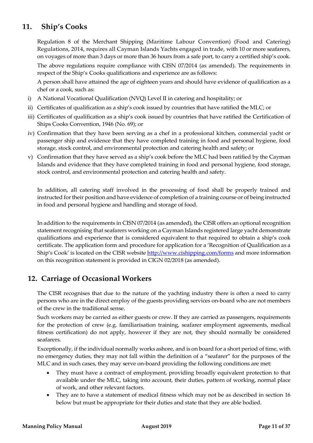## <span id="page-10-0"></span>**11. Ship's Cooks**

Regulation 8 of the Merchant Shipping (Maritime Labour Convention) (Food and Catering) Regulations, 2014, requires all Cayman Islands Yachts engaged in trade, with 10 or more seafarers, on voyages of more than 3 days or more than 36 hours from a safe port, to carry a certified ship's cook.

The above regulations require compliance with CISN 07/2014 (as amended). The requirements in respect of the Ship's Cooks qualifications and experience are as follows:

A person shall have attained the age of eighteen years and should have evidence of qualification as a chef or a cook, such as:

- i) A National Vocational Qualification (NVQ) Level II in catering and hospitality; or
- ii) Certificates of qualification as a ship's cook issued by countries that have ratified the MLC; or
- iii) Certificates of qualification as a ship's cook issued by countries that have ratified the Certification of Ships Cooks Convention, 1946 (No. 69); or
- iv) Confirmation that they have been serving as a chef in a professional kitchen, commercial yacht or passenger ship and evidence that they have completed training in food and personal hygiene, food storage, stock control, and environmental protection and catering health and safety; or
- v) Confirmation that they have served as a ship's cook before the MLC had been ratified by the Cayman Islands and evidence that they have completed training in food and personal hygiene, food storage, stock control, and environmental protection and catering health and safety.

In addition, all catering staff involved in the processing of food shall be properly trained and instructed for their position and have evidence of completion of a training course or of being instructed in food and personal hygiene and handling and storage of food.

In addition to the requirements in CISN 07/2014 (as amended), the CISR offers an optional recognition statement recognising that seafarers working on a Cayman Islands registered large yacht demonstrate qualifications and experience that is considered equivalent to that required to obtain a ship's cook certificate. The application form and procedure for application for a 'Recognition of Qualification as a Ship's Cook' is located on the CISR website<http://www.cishipping.com/forms> and more information on this recognition statement is provided in CIGN 02/2018 (as amended).

## <span id="page-10-1"></span>**12. Carriage of Occasional Workers**

The CISR recognises that due to the nature of the yachting industry there is often a need to carry persons who are in the direct employ of the guests providing services on-board who are not members of the crew in the traditional sense.

Such workers may be carried as either guests or crew. If they are carried as passengers, requirements for the protection of crew (e.g. familiarisation training, seafarer employment agreements, medical fitness certification) do not apply, however if they are not, they should normally be considered seafarers.

Exceptionally, if the individual normally works ashore, and is on board for a short period of time, with no emergency duties, they may not fall within the definition of a "seafarer" for the purposes of the MLC and in such cases, they may serve on-board providing the following conditions are met:

- They must have a contract of employment, providing broadly equivalent protection to that available under the MLC, taking into account, their duties, pattern of working, normal place of work, and other relevant factors.
- They are to have a statement of medical fitness which may not be as described in section 16 below but must be appropriate for their duties and state that they are able bodied.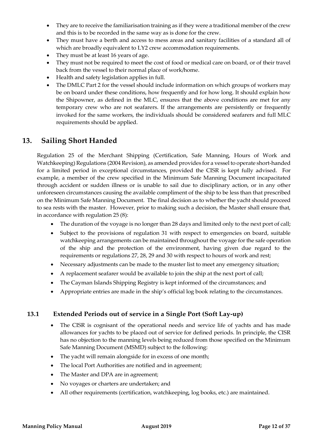- They are to receive the familiarisation training as if they were a traditional member of the crew and this is to be recorded in the same way as is done for the crew.
- They must have a berth and access to mess areas and sanitary facilities of a standard all of which are broadly equivalent to LY2 crew accommodation requirements.
- They must be at least 16 years of age.
- They must not be required to meet the cost of food or medical care on board, or of their travel back from the vessel to their normal place of work/home.
- Health and safety legislation applies in full.
- The DMLC Part 2 for the vessel should include information on which groups of workers may be on board under these conditions, how frequently and for how long. It should explain how the Shipowner, as defined in the MLC, ensures that the above conditions are met for any temporary crew who are not seafarers. If the arrangements are persistently or frequently invoked for the same workers, the individuals should be considered seafarers and full MLC requirements should be applied.

## <span id="page-11-0"></span>**13. Sailing Short Handed**

Regulation 25 of the Merchant Shipping (Certification, Safe Manning, Hours of Work and Watchkeeping) Regulations (2004 Revision), as amended provides for a vessel to operate short-handed for a limited period in exceptional circumstances, provided the CISR is kept fully advised. For example, a member of the crew specified in the Minimum Safe Manning Document incapacitated through accident or sudden illness or is unable to sail due to disciplinary action, or in any other unforeseen circumstances causing the available compliment of the ship to be less than that prescribed on the Minimum Safe Manning Document. The final decision as to whether the yacht should proceed to sea rests with the master. However, prior to making such a decision, the Master shall ensure that, in accordance with regulation 25 (8):

- The duration of the voyage is no longer than 28 days and limited only to the next port of call;
- Subject to the provisions of regulation 31 with respect to emergencies on board, suitable watchkeeping arrangements can be maintained throughout the voyage for the safe operation of the ship and the protection of the environment, having given due regard to the requirements or regulations 27, 28, 29 and 30 with respect to hours of work and rest;
- Necessary adjustments can be made to the muster list to meet any emergency situation;
- A replacement seafarer would be available to join the ship at the next port of call;
- The Cayman Islands Shipping Registry is kept informed of the circumstances; and
- Appropriate entries are made in the ship's official log book relating to the circumstances.

## <span id="page-11-1"></span>**13.1 Extended Periods out of service in a Single Port (Soft Lay-up)**

- The CISR is cognisant of the operational needs and service life of yachts and has made allowances for yachts to be placed out of service for defined periods. In principle, the CISR has no objection to the manning levels being reduced from those specified on the Minimum Safe Manning Document (MSMD) subject to the following:
- The yacht will remain alongside for in excess of one month;
- The local Port Authorities are notified and in agreement;
- The Master and DPA are in agreement;
- No voyages or charters are undertaken; and
- All other requirements (certification, watchkeeping, log books, etc.) are maintained.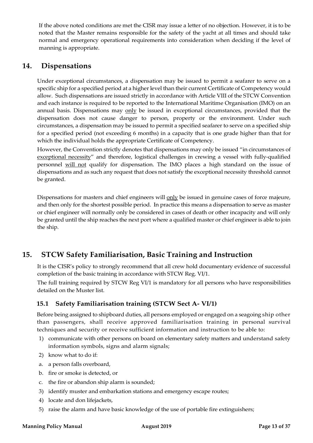If the above noted conditions are met the CISR may issue a letter of no objection. However, it is to be noted that the Master remains responsible for the safety of the yacht at all times and should take normal and emergency operational requirements into consideration when deciding if the level of manning is appropriate.

## <span id="page-12-0"></span>**14. Dispensations**

Under exceptional circumstances, a dispensation may be issued to permit a seafarer to serve on a specific ship for a specified period at a higher level than their current Certificate of Competency would allow. Such dispensations are issued strictly in accordance with Article VIII of the STCW Convention and each instance is required to be reported to the International Maritime Organisation (IMO) on an annual basis. Dispensations may only be issued in exceptional circumstances, provided that the dispensation does not cause danger to person, property or the environment. Under such circumstances, a dispensation may be issued to permit a specified seafarer to serve on a specified ship for a specified period (not exceeding 6 months) in a capacity that is one grade higher than that for which the individual holds the appropriate Certificate of Competency.

However, the Convention strictly denotes that dispensations may only be issued "in circumstances of exceptional necessity" and therefore, logistical challenges in crewing a vessel with fully-qualified personnel will not qualify for dispensation. The IMO places a high standard on the issue of dispensations and as such any request that does not satisfy the exceptional necessity threshold cannot be granted.

Dispensations for masters and chief engineers will only be issued in genuine cases of force majeure, and then only for the shortest possible period. In practice this means a dispensation to serve as master or chief engineer will normally only be considered in cases of death or other incapacity and will only be granted until the ship reaches the next port where a qualified master or chief engineer is able to join the ship.

## <span id="page-12-1"></span>**15. STCW Safety Familiarisation, Basic Training and Instruction**

It is the CISR's policy to strongly recommend that all crew hold documentary evidence of successful completion of the basic training in accordance with STCW Reg. VI/1.

The full training required by STCW Reg VI/1 is mandatory for all persons who have responsibilities detailed on the Muster list.

## <span id="page-12-2"></span>**15.1 Safety Familiarisation training (STCW Sect A- VI/1)**

Before being assigned to shipboard duties, all persons employed or engaged on a seagoing ship other than passengers, shall receive approved familiarisation training in personal survival techniques and security or receive sufficient information and instruction to be able to:

- 1) communicate with other persons on board on elementary safety matters and understand safety information symbols, signs and alarm signals;
- 2) know what to do if:
- a. a person falls overboard,
- b. fire or smoke is detected, or
- c. the fire or abandon ship alarm is sounded;
- 3) identify muster and embarkation stations and emergency escape routes;
- 4) locate and don lifejackets,
- 5) raise the alarm and have basic knowledge of the use of portable fire extinguishers;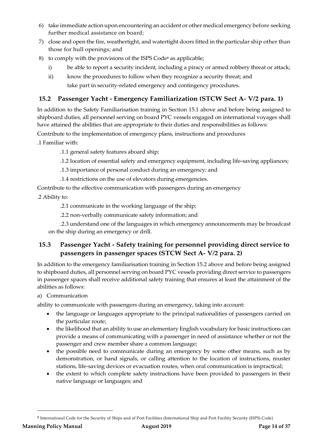- 6) take immediate action upon encountering an accident or other medical emergency before seeking further medical assistance on board;
- 7) close and open the fire, weathertight, and watertight doors fitted in the particular ship other than those for hull openings; and
- [8](#page-13-2)) to comply with the provisions of the ISPS Code<sup>8</sup> as applicable;
	- i) be able to report a security incident, including a piracy or armed robbery threat or attack;
	- ii) know the procedures to follow when they recognize a security threat; and take part in security-related emergency and contingency procedures.

## <span id="page-13-0"></span>**15.2 Passenger Yacht - Emergency Familiarization (STCW Sect A- V/2 para. 1)**

In addition to the Safety Familiarisation training in Section 15.1 above and before being assigned to shipboard duties, all personnel serving on board PYC vessels engaged on international voyages shall have attained the abilities that are appropriate to their duties and responsibilities as follows:

Contribute to the implementation of emergency plans, instructions and procedures

.1 Familiar with:

.1.1 general safety features aboard ship;

- .1.2 location of essential safety and emergency equipment, including life-saving appliances;
- .1.3 importance of personal conduct during an emergency; and
- .1.4 restrictions on the use of elevators during emergencies.

Contribute to the effective communication with passengers during an emergency

.2 Ability to:

.2.1 communicate in the working language of the ship;

.2.2 non-verbally communicate safety information; and

.2.3 understand one of the languages in which emergency announcements may be broadcast on the ship during an emergency or drill.

## <span id="page-13-1"></span>**15.3 Passenger Yacht - Safety training for personnel providing direct service to passengers in passenger spaces (STCW Sect A- V/2 para. 2)**

In addition to the emergency familiarisation training in Section 15.2 above and before being assigned to shipboard duties, all personnel serving on board PYC vessels providing direct service to passengers in passenger spaces shall receive additional safety training that ensures at least the attainment of the abilities as follows:

#### a) Communication

ability to communicate with passengers during an emergency, taking into account:

- the language or languages appropriate to the principal nationalities of passengers carried on the particular route;
- the likelihood that an ability to use an elementary English vocabulary for basic instructions can provide a means of communicating with a passenger in need of assistance whether or not the passenger and crew member share a common language;
- the possible need to communicate during an emergency by some other means, such as by demonstration, or hand signals, or calling attention to the location of instructions, muster stations, life-saving devices or evacuation routes, when oral communication is impractical;
- the extent to which complete safety instructions have been provided to passengers in their native language or languages; and

<span id="page-13-2"></span><sup>8</sup> International Code for the Security of Ships and of Port Facilities (International Ship and Port Facility Security (ISPS) Code)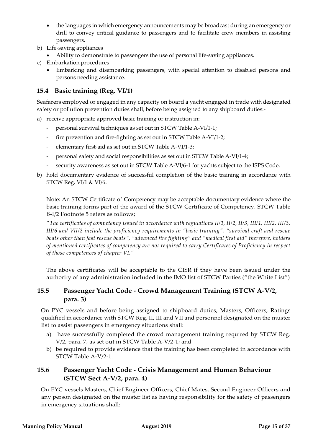- the languages in which emergency announcements may be broadcast during an emergency or drill to convey critical guidance to passengers and to facilitate crew members in assisting passengers.
- b) Life-saving appliances
	- Ability to demonstrate to passengers the use of personal life-saving appliances.
- c) Embarkation procedures
	- Embarking and disembarking passengers, with special attention to disabled persons and persons needing assistance.

## <span id="page-14-0"></span>**15.4 Basic training (Reg. VI/1)**

Seafarers employed or engaged in any capacity on board a yacht engaged in trade with designated safety or pollution prevention duties shall, before being assigned to any shipboard duties:-

- a) receive appropriate approved basic training or instruction in:
	- personal survival techniques as set out in STCW Table A-VI/1-1;
	- fire prevention and fire-fighting as set out in STCW Table A-VI/1-2;
	- elementary first-aid as set out in STCW Table A-VI/1-3;
	- personal safety and social responsibilities as set out in STCW Table A-VI/1-4;
	- security awareness as set out in STCW Table A-VI/6-1 for yachts subject to the ISPS Code.
- b) hold documentary evidence of successful completion of the basic training in accordance with STCW Reg. VI/1 & VI/6.

Note: An STCW Certificate of Competency may be acceptable documentary evidence where the basic training forms part of the award of the STCW Certificate of Competency. STCW Table B-I/2 Footnote 5 refers as follows;

"*The certificates of competency issued in accordance with regulations II/1, II/2, II/3, III/1, III/2, III/3, III/6 and VII/2 include the proficiency requirements in "basic training", "survival craft and rescue boats other than fast rescue boats", "advanced fire fighting" and "medical first aid" therefore, holders of mentioned certificates of competency are not required to carry Certificates of Proficiency in respect of those competences of chapter VI."*

The above certificates will be acceptable to the CISR if they have been issued under the authority of any administration included in the IMO list of STCW Parties ("the White List")

## <span id="page-14-1"></span>**15.5 Passenger Yacht Code - Crowd Management Training (STCW A-V/2, para. 3)**

On PYC vessels and before being assigned to shipboard duties, Masters, Officers, Ratings qualified in accordance with STCW Reg. II, III and VII and personnel designated on the muster list to assist passengers in emergency situations shall:

- a) have successfully completed the crowd management training required by STCW Reg. V/2, para. 7, as set out in STCW Table A-V/2-1; and
- b) be required to provide evidence that the training has been completed in accordance with STCW Table A-V/2-1.

## <span id="page-14-2"></span>**15.6 Passenger Yacht Code - Crisis Management and Human Behaviour (STCW Sect A-V/2, para. 4)**

On PYC vessels Masters, Chief Engineer Officers, Chief Mates, Second Engineer Officers and any person designated on the muster list as having responsibility for the safety of passengers in emergency situations shall: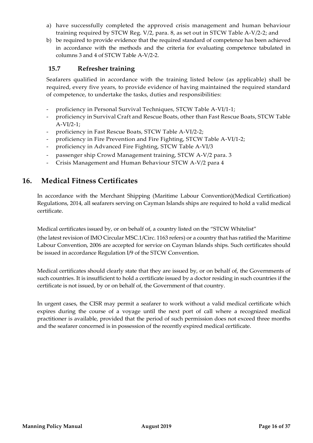- a) have successfully completed the approved crisis management and human behaviour training required by STCW Reg. V/2, para. 8, as set out in STCW Table A-V/2-2; and
- b) be required to provide evidence that the required standard of competence has been achieved in accordance with the methods and the criteria for evaluating competence tabulated in columns 3 and 4 of STCW Table A-V/2-2.

## <span id="page-15-0"></span>**15.7 Refresher training**

Seafarers qualified in accordance with the training listed below (as applicable) shall be required, every five years, to provide evidence of having maintained the required standard of competence, to undertake the tasks, duties and responsibilities:

- proficiency in Personal Survival Techniques, STCW Table A-VI/1-1;
- proficiency in Survival Craft and Rescue Boats, other than Fast Rescue Boats, STCW Table A-VI/2-1;
- proficiency in Fast Rescue Boats, STCW Table A-VI/2-2;
- proficiency in Fire Prevention and Fire Fighting, STCW Table A-VI/1-2;
- proficiency in Advanced Fire Fighting, STCW Table A-VI/3
- passenger ship Crowd Management training, STCW A-V/2 para. 3
- Crisis Management and Human Behaviour STCW A-V/2 para 4

## <span id="page-15-1"></span>**16. Medical Fitness Certificates**

In accordance with the Merchant Shipping (Maritime Labour Convention)(Medical Certification) Regulations, 2014, all seafarers serving on Cayman Islands ships are required to hold a valid medical certificate.

Medical certificates issued by, or on behalf of, a country listed on the "STCW Whitelist"

(the latest revision of IMO Circular MSC.1/Circ. 1163 refers) or a country that has ratified the Maritime Labour Convention, 2006 are accepted for service on Cayman Islands ships. Such certificates should be issued in accordance Regulation I/9 of the STCW Convention.

Medical certificates should clearly state that they are issued by, or on behalf of, the Governments of such countries. It is insufficient to hold a certificate issued by a doctor residing in such countries if the certificate is not issued, by or on behalf of, the Government of that country.

In urgent cases, the CISR may permit a seafarer to work without a valid medical certificate which expires during the course of a voyage until the next port of call where a recognized medical practitioner is available, provided that the period of such permission does not exceed three months and the seafarer concerned is in possession of the recently expired medical certificate.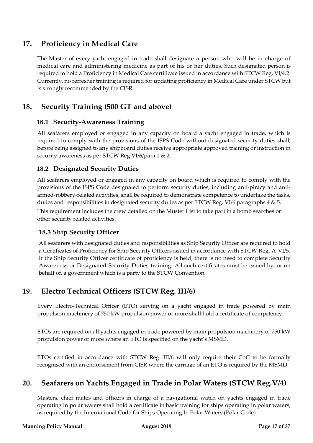## <span id="page-16-0"></span>**17. Proficiency in Medical Care**

The Master of every yacht engaged in trade shall designate a person who will be in charge of medical care and administering medicine as part of his or her duties. Such designated person is required to hold a Proficiency in Medical Care certificate issued in accordance with STCW Reg. VI/4.2. Currently, no refresher training is required for updating proficiency in Medical Care under STCW but is strongly recommended by the CISR.

## <span id="page-16-2"></span><span id="page-16-1"></span>**18. Security Training (500 GT and above)**

## **18.1 Security-Awareness Training**

All seafarers employed or engaged in any capacity on board a yacht engaged in trade, which is required to comply with the provisions of the ISPS Code without designated security duties shall, before being assigned to any shipboard duties receive appropriate approved training or instruction in security awareness as per STCW Reg VI/6/para 1 & 2.

## <span id="page-16-3"></span>**18.2 Designated Security Duties**

All seafarers employed or engaged in any capacity on board which is required to comply with the provisions of the ISPS Code designated to perform security duties, including anti-piracy and antiarmed-robbery-related activities, shall be required to demonstrate competence to undertake the tasks, duties and responsibilities in designated security duties as per STCW Reg. VI/6 paragraphs 4 & 5. This requirement includes the crew detailed on the Muster List to take part in a bomb searches or other security related activities.

## <span id="page-16-4"></span>**18.3 Ship Security Officer**

All seafarers with designated duties and responsibilities as Ship Security Officer are required to hold a Certificates of Proficiency for Ship Security Officers issued in accordance with STCW Reg. A-VI/5. If the Ship Security Officer certificate of proficiency is held, there is no need to complete Security Awareness or Designated Security Duties training. All such certificates must be issued by, or on behalf of, a government which is a party to the STCW Convention.

## <span id="page-16-5"></span>**19. Electro Technical Officers (STCW Reg. III/6)**

Every Electro-Technical Officer (ETO) serving on a yacht engaged in trade powered by main propulsion machinery of 750 kW propulsion power or more shall hold a certificate of competency.

ETOs are required on all yachts engaged in trade powered by main propulsion machinery of 750 kW propulsion power or more where an ETO is specified on the yacht's MSMD.

ETOs certified in accordance with STCW Reg. III/6 will only require their CoC to be formally recognised with an endorsement from CISR where the carriage of an ETO is required by the MSMD.

## <span id="page-16-6"></span>**20. Seafarers on Yachts Engaged in Trade in Polar Waters (STCW Reg.V/4)**

Masters, chief mates and officers in charge of a navigational watch on yachts engaged in trade operating in polar waters shall hold a certificate in basic training for ships operating in polar waters, as required by the International Code for Ships Operating In Polar Waters (Polar Code).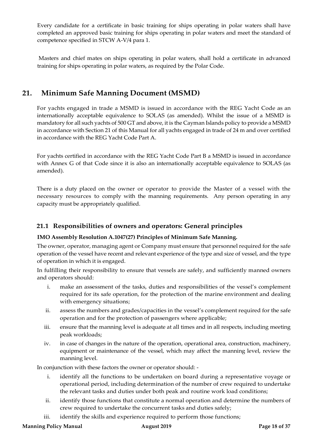Every candidate for a certificate in basic training for ships operating in polar waters shall have completed an approved basic training for ships operating in polar waters and meet the standard of competence specified in STCW A-V/4 para 1.

Masters and chief mates on ships operating in polar waters, shall hold a certificate in advanced training for ships operating in polar waters, as required by the Polar Code.

## <span id="page-17-0"></span>**21. Minimum Safe Manning Document (MSMD)**

For yachts engaged in trade a MSMD is issued in accordance with the REG Yacht Code as an internationally acceptable equivalence to SOLAS (as amended). Whilst the issue of a MSMD is mandatory for all such yachts of 500 GT and above, it is the Cayman Islands policy to provide a MSMD in accordance with Section 21 of this Manual for all yachts engaged in trade of 24 m and over certified in accordance with the REG Yacht Code Part A.

For yachts certified in accordance with the REG Yacht Code Part B a MSMD is issued in accordance with Annex G of that Code since it is also an internationally acceptable equivalence to SOLAS (as amended).

There is a duty placed on the owner or operator to provide the Master of a vessel with the necessary resources to comply with the manning requirements. Any person operating in any capacity must be appropriately qualified.

## <span id="page-17-1"></span>**21.1 Responsibilities of owners and operators: General principles**

#### **IMO Assembly Resolution A.1047(27) Principles of Minimum Safe Manning.**

The owner, operator, managing agent or Company must ensure that personnel required for the safe operation of the vessel have recent and relevant experience of the type and size of vessel, and the type of operation in which it is engaged.

In fulfilling their responsibility to ensure that vessels are safely, and sufficiently manned owners and operators should:

- i. make an assessment of the tasks, duties and responsibilities of the vessel's complement required for its safe operation, for the protection of the marine environment and dealing with emergency situations;
- ii. assess the numbers and grades/capacities in the vessel's complement required for the safe operation and for the protection of passengers where applicable;
- iii. ensure that the manning level is adequate at all times and in all respects, including meeting peak workloads;
- iv. in case of changes in the nature of the operation, operational area, construction, machinery, equipment or maintenance of the vessel, which may affect the manning level, review the manning level.

In conjunction with these factors the owner or operator should: -

- i. identify all the functions to be undertaken on board during a representative voyage or operational period, including determination of the number of crew required to undertake the relevant tasks and duties under both peak and routine work load conditions;
- ii. identify those functions that constitute a normal operation and determine the numbers of crew required to undertake the concurrent tasks and duties safely;
- iii. identify the skills and experience required to perform those functions;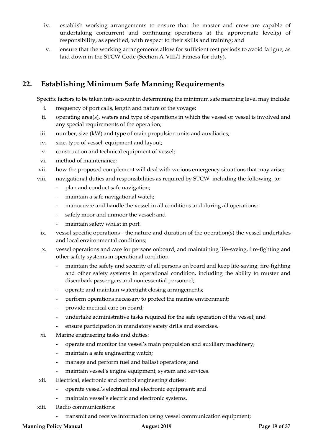- iv. establish working arrangements to ensure that the master and crew are capable of undertaking concurrent and continuing operations at the appropriate level(s) of responsibility, as specified, with respect to their skills and training; and
- v. ensure that the working arrangements allow for sufficient rest periods to avoid fatigue, as laid down in the STCW Code (Section A-VIII/1 Fitness for duty).

## <span id="page-18-0"></span>**22. Establishing Minimum Safe Manning Requirements**

Specific factors to be taken into account in determining the minimum safe manning level may include:

- i. frequency of port calls, length and nature of the voyage;
- ii. operating area(s), waters and type of operations in which the vessel or vessel is involved and any special requirements of the operation;
- iii. number, size (kW) and type of main propulsion units and auxiliaries;
- iv. size, type of vessel, equipment and layout;
- v. construction and technical equipment of vessel;
- vi. method of maintenance;
- vii. how the proposed complement will deal with various emergency situations that may arise;
- viii. navigational duties and responsibilities as required by STCW including the following, to:
	- plan and conduct safe navigation;
	- maintain a safe navigational watch;
	- manoeuvre and handle the vessel in all conditions and during all operations;
	- safely moor and unmoor the vessel; and
	- maintain safety whilst in port.
	- ix. vessel specific operations the nature and duration of the operation(s) the vessel undertakes and local environmental conditions;
	- x. vessel operations and care for persons onboard, and maintaining life-saving, fire-fighting and other safety systems in operational condition
		- maintain the safety and security of all persons on board and keep life-saving, fire-fighting and other safety systems in operational condition, including the ability to muster and disembark passengers and non-essential personnel;
		- operate and maintain watertight closing arrangements;
		- perform operations necessary to protect the marine environment;
		- provide medical care on board;
		- undertake administrative tasks required for the safe operation of the vessel; and
		- ensure participation in mandatory safety drills and exercises.
- xi. Marine engineering tasks and duties:
	- operate and monitor the vessel's main propulsion and auxiliary machinery;
	- maintain a safe engineering watch;
	- manage and perform fuel and ballast operations; and
	- maintain vessel's engine equipment, system and services.
- xii. Electrical, electronic and control engineering duties:
	- operate vessel's electrical and electronic equipment; and
	- maintain vessel's electric and electronic systems.
- xiii. Radio communications:
	- transmit and receive information using vessel communication equipment;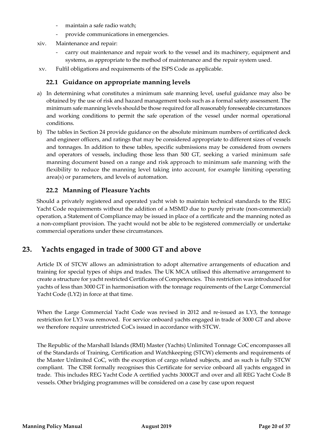- maintain a safe radio watch;
- provide communications in emergencies.
- xiv. Maintenance and repair:
	- carry out maintenance and repair work to the vessel and its machinery, equipment and systems, as appropriate to the method of maintenance and the repair system used.
- <span id="page-19-0"></span>xv. Fulfil obligations and requirements of the ISPS Code as applicable.

## **22.1 Guidance on appropriate manning levels**

- a) In determining what constitutes a minimum safe manning level, useful guidance may also be obtained by the use of risk and hazard management tools such as a formal safety assessment. The minimum safe manning levels should be those required for all reasonably foreseeable circumstances and working conditions to permit the safe operation of the vessel under normal operational conditions.
- b) The tables in Section 24 provide guidance on the absolute minimum numbers of certificated deck and engineer officers, and ratings that may be considered appropriate to different sizes of vessels and tonnages. In addition to these tables, specific submissions may be considered from owners and operators of vessels, including those less than 500 GT, seeking a varied minimum safe manning document based on a range and risk approach to minimum safe manning with the flexibility to reduce the manning level taking into account, for example limiting operating area(s) or parameters, and levels of automation.

## **22.2 Manning of Pleasure Yachts**

<span id="page-19-1"></span>Should a privately registered and operated yacht wish to maintain technical standards to the REG Yacht Code requirements without the addition of a MSMD due to purely private (non-commercial) operation, a Statement of Compliance may be issued in place of a certificate and the manning noted as a non-compliant provision. The yacht would not be able to be registered commercially or undertake commercial operations under these circumstances.

## <span id="page-19-2"></span>**23. Yachts engaged in trade of 3000 GT and above**

Article IX of STCW allows an administration to adopt alternative arrangements of education and training for special types of ships and trades. The UK MCA utilised this alternative arrangement to create a structure for yacht restricted Certificates of Competencies. This restriction was introduced for yachts of less than 3000 GT in harmonisation with the tonnage requirements of the Large Commercial Yacht Code (LY2) in force at that time.

When the Large Commercial Yacht Code was revised in 2012 and re-issued as LY3, the tonnage restriction for LY3 was removed. For service onboard yachts engaged in trade of 3000 GT and above we therefore require unrestricted CoCs issued in accordance with STCW.

The Republic of the Marshall Islands (RMI) Master (Yachts) Unlimited Tonnage CoC encompasses all of the Standards of Training, Certification and Watchkeeping (STCW) elements and requirements of the Master Unlimited CoC, with the exception of cargo related subjects, and as such is fully STCW compliant. The CISR formally recognises this Certificate for service onboard all yachts engaged in trade. This includes REG Yacht Code A certified yachts 3000GT and over and all REG Yacht Code B vessels. Other bridging programmes will be considered on a case by case upon request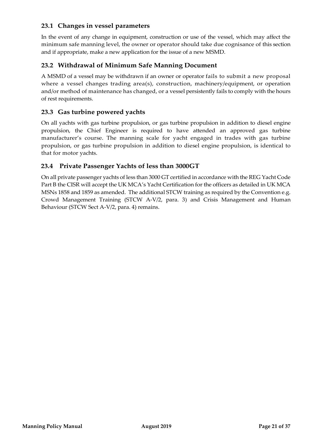## <span id="page-20-0"></span>**23.1 Changes in vessel parameters**

In the event of any change in equipment, construction or use of the vessel, which may affect the minimum safe manning level, the owner or operator should take due cognisance of this section and if appropriate, make a new application for the issue of a new MSMD.

## <span id="page-20-1"></span>**23.2 Withdrawal of Minimum Safe Manning Document**

A MSMD of a vessel may be withdrawn if an owner or operator fails to submit a new proposal where a vessel changes trading area(s), construction, machinery/equipment, or operation and/or method of maintenance has changed, or a vessel persistently fails to comply with the hours of rest requirements.

## <span id="page-20-2"></span>**23.3 Gas turbine powered yachts**

On all yachts with gas turbine propulsion, or gas turbine propulsion in addition to diesel engine propulsion, the Chief Engineer is required to have attended an approved gas turbine manufacturer's course. The manning scale for yacht engaged in trades with gas turbine propulsion, or gas turbine propulsion in addition to diesel engine propulsion, is identical to that for motor yachts.

#### <span id="page-20-3"></span>**23.4 Private Passenger Yachts of less than 3000GT**

On all private passenger yachts of less than 3000 GT certified in accordance with the REG Yacht Code Part B the CISR will accept the UK MCA's Yacht Certification for the officers as detailed in UK MCA MSNs 1858 and 1859 as amended. The additional STCW training as required by the Convention e.g. Crowd Management Training (STCW A-V/2, para. 3) and Crisis Management and Human Behaviour (STCW Sect A-V/2, para. 4) remains.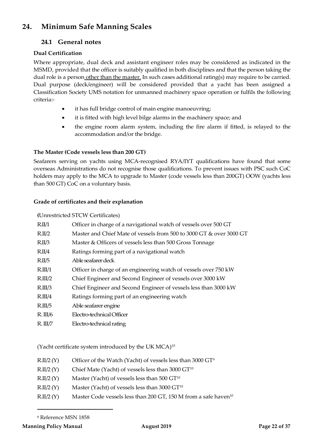## <span id="page-21-1"></span><span id="page-21-0"></span>**24. Minimum Safe Manning Scales**

## **24.1 General notes**

## **Dual Certification**

Where appropriate, dual deck and assistant engineer roles may be considered as indicated in the MSMD, provided that the officer is suitably qualified in both disciplines and that the person taking the dual role is a person other than the master. In such cases additional rating(s) may require to be carried. Dual purpose (deck/engineer) will be considered provided that a yacht has been assigned a Classification Society UMS notation for unmanned machinery space operation or fulfils the following criteria:-

- it has full bridge control of main engine manoeuvring;
- it is fitted with high level bilge alarms in the machinery space; and
- the engine room alarm system, including the fire alarm if fitted, is relayed to the accommodation and/or the bridge.

#### **The Master (Code vessels less than 200 GT)**

Seafarers serving on yachts using MCA-recognised RYA/IYT qualifications have found that some overseas Administrations do not recognise those qualifications. To prevent issues with PSC such CoC holders may apply to the MCA to upgrade to Master (code vessels less than 200GT) OOW (yachts less than 500 GT) CoC on a voluntary basis.

#### **Grade of certificates and their explanation**

|                     | (Unrestricted STCW Certificates)                                    |
|---------------------|---------------------------------------------------------------------|
| R.II/1              | Officer in charge of a navigational watch of vessels over 500 GT    |
| R.II/2              | Master and Chief Mate of vessels from 500 to 3000 GT & over 3000 GT |
| R.II/3              | Master & Officers of vessels less than 500 Gross Tonnage            |
| R.II/4              | Ratings forming part of a navigational watch                        |
| R.II/5              | Able seafarer deck                                                  |
| R.III/1             | Officer in charge of an engineering watch of vessels over 750 kW    |
| R <sub>III</sub> /2 | Chief Engineer and Second Engineer of vessels over 3000 kW          |
| R.III/3             | Chief Engineer and Second Engineer of vessels less than 3000 kW     |
| R.III/4             | Ratings forming part of an engineering watch                        |
| R.III/5             | Able seafarer engine                                                |
| R. III/6            | Electro-technical Officer                                           |
| $R_\cdot$ III/7     | Electro-technical rating                                            |

(Yacht certificate system introduced by the UK MCA)10

| Officer of the Watch (Yacht) of vessels less than $3000 \text{ GT}^9$ |           |  |  |
|-----------------------------------------------------------------------|-----------|--|--|
|                                                                       | R.II/2(Y) |  |  |

- $R.II/2 (Y)$  Chief Mate (Yacht) of vessels less than 3000 GT<sup>10</sup>
- $R.II/2 (Y)$  Master (Yacht) of vessels less than 500 GT<sup>10</sup>
- $R.II/2 (Y)$  Master (Yacht) of vessels less than 3000 GT<sup>10</sup>
- R.II/2 (Y) Master Code vessels less than 200 GT, 150 M from a safe haven<sup>10</sup>

<span id="page-21-2"></span><sup>9</sup> Reference MSN 1858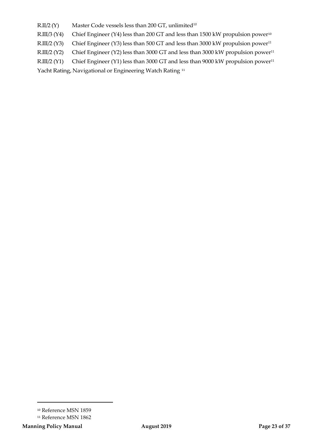R.II/2 (Y) Master Code vessels less than 200 GT, unlimited<sup>10</sup>

R.III/3 (Y4) Chief Engineer (Y4) less than 200 GT and less than 1500 kW propulsion power<sup>[10](#page-22-0)</sup>

R.III/2 (Y3) Chief Engineer (Y3) less than 500 GT and less than 3000 kW propulsion power<sup>11</sup>

R.III/2 (Y2) Chief Engineer (Y2) less than 3000 GT and less than 3000 kW propulsion power<sup>11</sup>

R.III/2 (Y1) Chief Engineer (Y1) less than 3000 GT and less than 9000 kW propulsion power<sup>11</sup>

Yacht Rating, Navigational or Engineering Watch Rating [11](#page-22-1)

 $\overline{a}$ 

<sup>10</sup> Reference MSN 1859

<span id="page-22-1"></span><span id="page-22-0"></span><sup>&</sup>lt;sup>11</sup> Reference MSN 1862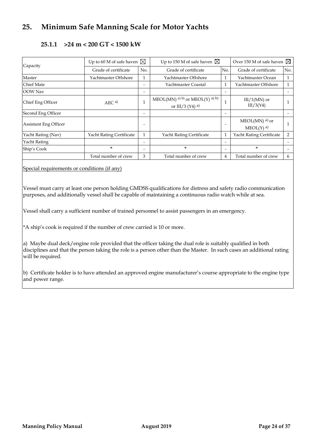## <span id="page-23-0"></span>**25. Minimum Safe Manning Scale for Motor Yachts**

<span id="page-23-1"></span>

| Capacity                     | Up to 60 M of safe haven $\boxtimes$ |              | Up to 150 M of safe haven $\boxtimes$               |                          | Over 150 M of safe haven $\boxtimes$                   |     |
|------------------------------|--------------------------------------|--------------|-----------------------------------------------------|--------------------------|--------------------------------------------------------|-----|
|                              | Grade of certificate                 | No.          | Grade of certificate                                | No.                      | Grade of certificate                                   | No. |
| Master                       | Yachtmaster Offshore                 | 1            | Yachtmaster Offshore                                | $\mathbf{1}$             | Yachtmaster Ocean                                      | 1   |
| <b>Chief Mate</b>            |                                      |              | Yachtmaster Coastal                                 | $\mathbf{1}$             | Yachtmaster Offshore                                   | 1   |
| <b>OOW</b> Nav               |                                      |              |                                                     | $\overline{\phantom{a}}$ |                                                        |     |
| Chief Eng Officer            | AEC <sup>a</sup>                     | $\mathbf{1}$ | MEOL(MN) a) b) or MEOL(Y) a) b)<br>or III/3 (Y4) a) |                          | $III/1(MN)$ or<br>III/3(Y4)                            |     |
| Second Eng Officer           |                                      |              |                                                     | $\overline{\phantom{0}}$ |                                                        |     |
| <b>Assistant Eng Officer</b> |                                      |              |                                                     |                          | $MEOL(MN)$ <sup>a)</sup> or<br>$MEOL(Y)$ <sup>a)</sup> |     |
| Yacht Rating (Nav)           | Yacht Rating Certificate             | $\mathbf{1}$ | Yacht Rating Certificate                            | $\mathbf{1}$             | Yacht Rating Certificate                               | 2   |
| <b>Yacht Rating</b>          |                                      |              |                                                     | $\overline{\phantom{a}}$ |                                                        |     |
| Ship's Cook                  | $\star$                              |              | $\star$                                             | $\overline{\phantom{a}}$ | $\star$                                                |     |
|                              | Total number of crew                 | 3            | Total number of crew                                | 4                        | Total number of crew                                   | 6   |

## **25.1.1 >24 m < 200 GT < 1500 kW**

Special requirements or conditions (if any)

Vessel must carry at least one person holding GMDSS qualifications for distress and safety radio communication purposes, and additionally vessel shall be capable of maintaining a continuous radio watch while at sea.

Vessel shall carry a sufficient number of trained personnel to assist passengers in an emergency.

\*A ship's cook is required if the number of crew carried is 10 or more.

a) Maybe dual deck/engine role provided that the officer taking the dual role is suitably qualified in both disciplines and that the person taking the role is a person other than the Master. In such cases an additional rating will be required.

b) Certificate holder is to have attended an approved engine manufacturer's course appropriate to the engine type and power range.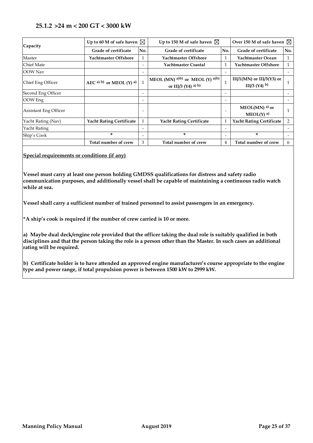#### <span id="page-24-0"></span>**25.1.2 >24 m < 200 GT < 3000 kW**

| Capacity              | Up to 60 M of safe haven $\boxtimes$ |                          | Up to 150 M of safe haven $\boxtimes$                               |                              | Over 150 M of safe haven $\boxtimes$                    |     |
|-----------------------|--------------------------------------|--------------------------|---------------------------------------------------------------------|------------------------------|---------------------------------------------------------|-----|
|                       | Grade of certificate                 | No.                      | <b>Grade of certificate</b>                                         | No.                          | <b>Grade of certificate</b>                             | No. |
| Master                | Yachtmaster Offshore                 | 1                        | Yachtmaster Offshore                                                | 1                            | Yachtmaster Ocean                                       | 1   |
| Chief Mate            |                                      | $\overline{\phantom{0}}$ | Yachtmaster Coastal                                                 | 1                            | Yachtmaster Offshore                                    | 1   |
| OOW Nav               |                                      | $\overline{\phantom{0}}$ |                                                                     | $\overline{\phantom{a}}$     |                                                         |     |
| Chief Eng Officer     | $AEC^{a)}$ b) or MEOL (Y) a)         |                          | MEOL (MN) a)b) or MEOL (Y) a)b)<br>or III/3 $(Y4)$ <sup>a) b)</sup> | $\mathbf{1}$                 | III/1(MN) or III/3(Y3) or<br>III/3 $(Y4)$ <sup>b)</sup> |     |
| Second Eng Officer    |                                      | $\overline{\phantom{0}}$ |                                                                     | $\overline{\phantom{a}}$     |                                                         |     |
| OOW Eng               |                                      | $\overline{\phantom{0}}$ |                                                                     | $\qquad \qquad \blacksquare$ |                                                         |     |
| Assistant Eng Officer |                                      |                          |                                                                     | $\overline{\phantom{a}}$     | $MEOL(MN)$ <sup>a)</sup> or<br>$MEOL(Y)$ <sup>a)</sup>  |     |
| Yacht Rating (Nav)    | <b>Yacht Rating Certificate</b>      | 1                        | <b>Yacht Rating Certificate</b>                                     | $\mathbf{1}$                 | <b>Yacht Rating Certificate</b>                         | 2   |
| Yacht Rating          |                                      |                          |                                                                     | $\overline{\phantom{a}}$     |                                                         |     |
| Ship's Cook           | ×.                                   | $\overline{\phantom{a}}$ | ×.                                                                  | $\overline{\phantom{a}}$     | *                                                       |     |
|                       | Total number of crew                 | 3                        | Total number of crew                                                | 4                            | Total number of crew                                    | 6   |

#### **Special requirements or conditions (if any)**

**Vessel must carry at least one person holding GMDSS qualifications for distress and safety radio communication purposes, and additionally vessel shall be capable of maintaining a continuous radio watch while at sea.**

**Vessel shall carry a sufficient number of trained personnel to assist passengers in an emergency.**

**\*A ship's cook is required if the number of crew carried is 10 or more.**

**a) Maybe dual deck/engine role provided that the officer taking the dual role is suitably qualified in both disciplines and that the person taking the role is a person other than the Master. In such cases an additional rating will be required.** 

**b) Certificate holder is to have attended an approved engine manufacturer's course appropriate to the engine type and power range, if total propulsion power is between 1500 kW to 2999 kW.**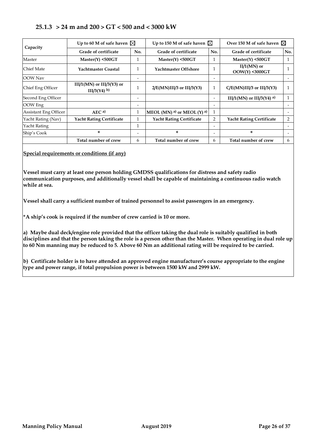## <span id="page-25-0"></span>**25.1.3 > 24 m and 200 > GT < 500 and < 3000 kW**

| Capacity                     | Up to 60 M of safe haven $\boxtimes$                   |                          | Up to 150 M of safe haven $\boxtimes$ |                          | Over 150 M of safe haven $\boxtimes$ |     |
|------------------------------|--------------------------------------------------------|--------------------------|---------------------------------------|--------------------------|--------------------------------------|-----|
|                              | Grade of certificate                                   | No.                      | Grade of certificate                  | No.                      | Grade of certificate                 | No. |
| Master                       | $Master(Y)$ <500GT                                     |                          | $Master(Y)$ <500GT                    |                          | $Master(Y)$ <500GT                   | 1   |
| lChief Mate                  | Yachtmaster Coastal                                    |                          | Yachtmaster Offshore                  |                          | $II/1(MN)$ or<br>$OOW(Y)$ <3000GT    |     |
| OOW Nav                      |                                                        | $\overline{\phantom{0}}$ |                                       | $\overline{\phantom{0}}$ |                                      |     |
| Chief Eng Officer            | III/1(MN) or III/3(Y3) or<br>$III/3(Y4)$ <sup>b)</sup> |                          | $2/E(MN)III/3$ or $III/3(Y3)$         | $\mathbf{1}$             | $C/E(MN)III/3$ or $III/3(Y3)$        | 1   |
| Second Eng Officer           |                                                        | $\overline{\phantom{0}}$ |                                       | $\overline{\phantom{0}}$ | III/1(MN) or III/3(Y4) a)            | 1   |
| OOW Eng                      |                                                        | $\overline{\phantom{0}}$ |                                       | $\overline{\phantom{0}}$ |                                      |     |
| <b>Assistant Eng Officer</b> | AEC <sup>a</sup>                                       | $\mathbf{1}$             | MEOL (MN) a) or MEOL (Y) a)           | $\mathbf{1}$             |                                      |     |
| Yacht Rating (Nav)           | <b>Yacht Rating Certificate</b>                        | 1                        | <b>Yacht Rating Certificate</b>       | $\overline{2}$           | <b>Yacht Rating Certificate</b>      | 2   |
| Yacht Rating                 |                                                        |                          |                                       | -                        |                                      |     |
| Ship's Cook                  | ×                                                      |                          | *                                     | $\overline{\phantom{0}}$ | *                                    |     |
|                              | Total number of crew                                   | 6                        | Total number of crew                  | 6                        | Total number of crew                 | 6   |

#### **Special requirements or conditions (if any)**

**Vessel must carry at least one person holding GMDSS qualifications for distress and safety radio communication purposes, and additionally vessel shall be capable of maintaining a continuous radio watch while at sea.**

**Vessel shall carry a sufficient number of trained personnel to assist passengers in an emergency.**

**\*A ship's cook is required if the number of crew carried is 10 or more.**

**a) Maybe dual deck/engine role provided that the officer taking the dual role is suitably qualified in both disciplines and that the person taking the role is a person other than the Master. When operating in dual role up to 60 Nm manning may be reduced to 5. Above 60 Nm an additional rating will be required to be carried.** 

**b) Certificate holder is to have attended an approved engine manufacturer's course appropriate to the engine type and power range, if total propulsion power is between 1500 kW and 2999 kW.**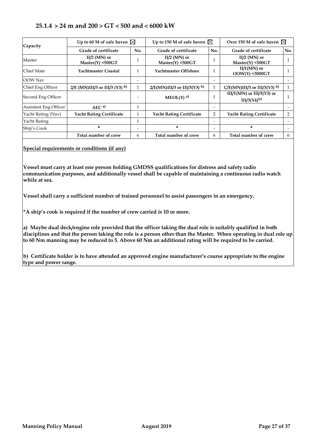## <span id="page-26-0"></span>**25.1.4 > 24 m and 200 > GT < 500 and < 6000 kW**

| Capacity              | Up to 60 M of safe haven $\boxtimes$ | Up to 150 M of safe haven $\boxtimes$ |                                     | Over 150 M of safe haven $\boxtimes$ |                                              |     |
|-----------------------|--------------------------------------|---------------------------------------|-------------------------------------|--------------------------------------|----------------------------------------------|-----|
|                       | Grade of certificate                 | No.                                   | Grade of certificate                | No.                                  | Grade of certificate                         | No. |
| Master                | $II/2$ (MN) or<br>Master(Y) < 500GT  |                                       | $II/2$ (MN) or<br>Master(Y) < 500GT |                                      | $II/2$ (MN) or<br>$Master(Y)$ <500GT         |     |
| Chief Mate            | Yachtmaster Coastal                  | 1                                     | Yachtmaster Offshore                |                                      | $II/1(MN)$ or<br>$OOW(Y)$ <3000GT            |     |
| <b>OOW</b> Nav        |                                      |                                       |                                     |                                      |                                              |     |
| Chief Eng Officer     | $2/E$ (MN)III/3 or III/3 (Y3) b)     |                                       | $2/E(MN)III/3$ or III/3(Y3) b)      |                                      | $C/E(MN)III/3$ or III/3(Y3) b)               |     |
| Second Eng Officer    |                                      |                                       | $MEOL(Y)$ <sup>a)</sup>             |                                      | III/1(MN) or III/3(Y3) or<br>$IIJ/3(Y4)^{b}$ |     |
| Assistant Eng Officer | AEC <sup>a</sup>                     | 1                                     |                                     |                                      |                                              |     |
| Yacht Rating (Nav)    | <b>Yacht Rating Certificate</b>      |                                       | <b>Yacht Rating Certificate</b>     | $\overline{2}$                       | <b>Yacht Rating Certificate</b>              | 2   |
| Yacht Rating          |                                      | 1                                     |                                     | $\overline{\phantom{0}}$             |                                              |     |
| Ship's Cook           | *                                    | $\overline{\phantom{0}}$              | ×.                                  | $\overline{\phantom{0}}$             | *                                            |     |
|                       | Total number of crew                 | 6                                     | Total number of crew                | 6                                    | Total number of crew                         | 6   |

#### **Special requirements or conditions (if any)**

**Vessel must carry at least one person holding GMDSS qualifications for distress and safety radio communication purposes, and additionally vessel shall be capable of maintaining a continuous radio watch while at sea.**

**Vessel shall carry a sufficient number of trained personnel to assist passengers in an emergency.**

**\*A ship's cook is required if the number of crew carried is 10 or more.**

**a) Maybe dual deck/engine role provided that the officer taking the dual role is suitably qualified in both disciplines and that the person taking the role is a person other than the Master. When operating in dual role up to 60 Nm manning may be reduced to 5. Above 60 Nm an additional rating will be required to be carried.** 

**b) Certificate holder is to have attended an approved engine manufacturer's course appropriate to the engine type and power range.**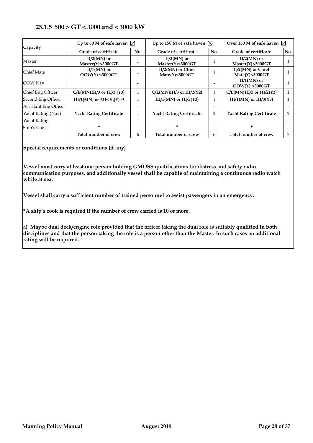#### <span id="page-27-0"></span>**25.1.5 500 > GT < 3000 and < 3000 kW**

| Capacity                     | Up to 60 M of safe haven $\boxtimes$ | Up to 150 M of safe haven $\boxtimes$ |                                             | Over 150 M of safe haven $\boxtimes$ |                                           |     |
|------------------------------|--------------------------------------|---------------------------------------|---------------------------------------------|--------------------------------------|-------------------------------------------|-----|
|                              | Grade of certificate                 | No.                                   | Grade of certificate                        | No.                                  | Grade of certificate                      | No. |
| Master                       | $II/2(MN)$ or<br>Master(Y)<3000GT    |                                       | $II/2(MN)$ or<br>Master(Y)<3000GT           |                                      | $II/2(MN)$ or<br>Master(Y)<3000GT         |     |
| Chief Mate                   | $II/1(MN)$ or<br>$OOW(Y)$ <3000GT    |                                       | $II/2(MN)$ or Chief<br>$Mate(Y)$ <3000 $GT$ |                                      | II/2(MN) or Chief<br>Mate(Y)<3000GT       |     |
| <b>OOW</b> Nav               |                                      |                                       |                                             |                                      | $II/1(MN)$ or<br><b>OOW(Y) &lt;3000GT</b> |     |
| Chief Eng Officer            | $C/E(MN)III/3$ or III/3 (Y3)         |                                       | $C/E(MN)III/3$ or $III/2(Y2)$               |                                      | $C/E(MN)III/3$ or $III/2(Y2)$             |     |
| Second Eng Officer           | III/1(MN) or MEOL(Y) a)              |                                       | III/ $1(MN)$ or III/ $3(Y3)$                |                                      | III/1(MN) or III/3(Y3)                    |     |
| <b>Assistant Eng Officer</b> |                                      |                                       |                                             |                                      |                                           |     |
| Yacht Rating (Nav)           | <b>Yacht Rating Certificate</b>      |                                       | <b>Yacht Rating Certificate</b>             | $\overline{2}$                       | <b>Yacht Rating Certificate</b>           | 2   |
| Yacht Rating                 |                                      | 1                                     |                                             | $\overline{\phantom{0}}$             |                                           |     |
| Ship's Cook                  | ×.                                   | $\overline{\phantom{0}}$              | ×.                                          | $\overline{\phantom{0}}$             | ×.                                        |     |
|                              | Total number of crew                 | 6                                     | Total number of crew                        | 6                                    | Total number of crew                      | 7   |

**Special requirements or conditions (if any)**

**Vessel must carry at least one person holding GMDSS qualifications for distress and safety radio communication purposes, and additionally vessel shall be capable of maintaining a continuous radio watch while at sea.**

**Vessel shall carry a sufficient number of trained personnel to assist passengers in an emergency.**

**\*A ship's cook is required if the number of crew carried is 10 or more.**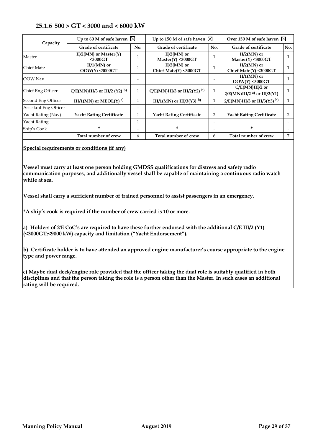#### **25.1.6 500 > GT < 3000 and < 6000 kW**

<span id="page-28-0"></span>

|                              |                                      |     | Up to 150 M of safe haven $\boxtimes$  |                          | Over 150 M of safe haven $\boxtimes$                           |     |
|------------------------------|--------------------------------------|-----|----------------------------------------|--------------------------|----------------------------------------------------------------|-----|
| Capacity                     | Up to 60 M of safe haven $\boxtimes$ |     |                                        |                          |                                                                |     |
|                              | Grade of certificate                 | No. | Grade of certificate                   | No.                      | Grade of certificate                                           | No. |
| Master                       | $II/2(MN)$ or Master(Y)<br>$3000GT$  |     | $II/2(MN)$ or<br>Master(Y) < 3000GT    |                          | $II/2(MN)$ or<br>Master(Y) < 3000GT                            |     |
| Chief Mate                   | $II/1(MN)$ or<br>OOW(Y) <3000GT      |     | $II/2(MN)$ or<br>Chief Mate(Y) <3000GT |                          | $II/2(MN)$ or<br>Chief Mate(Y) <3000GT                         |     |
| OOW Nav                      |                                      |     |                                        |                          | $II/1(MN)$ or<br>$OOW(Y)$ <3000GT                              |     |
| Chief Eng Officer            | $C/E(MN)III/3$ or III/2 (Y2) b)      | 1   | $C/E(MN)III/3$ or III/2(Y2) b)         |                          | $C/E(MN)III/2$ or<br>$2/E(MN)III/2$ <sup>a)</sup> or III/2(Y1) |     |
| Second Eng Officer           | III/1(MN) or MEOL(Y) <sup>c)</sup>   |     | III/1(MN) or III/3(Y3) b)              | T.                       | $2/E(MN)III/3$ or III/3(Y3) b)                                 | 1   |
| <b>Assistant Eng Officer</b> |                                      |     |                                        |                          |                                                                |     |
| Yacht Rating (Nav)           | <b>Yacht Rating Certificate</b>      |     | <b>Yacht Rating Certificate</b>        | $\overline{2}$           | <b>Yacht Rating Certificate</b>                                | 2   |
| Yacht Rating                 |                                      |     |                                        | $\overline{\phantom{0}}$ |                                                                |     |
| Ship's Cook                  | ×.                                   |     | ×.                                     | $\overline{\phantom{0}}$ | ×.                                                             |     |
|                              | Total number of crew                 | 6   | Total number of crew                   | 6                        | Total number of crew                                           | 7   |

#### **Special requirements or conditions (if any)**

**Vessel must carry at least one person holding GMDSS qualifications for distress and safety radio communication purposes, and additionally vessel shall be capable of maintaining a continuous radio watch while at sea.**

**Vessel shall carry a sufficient number of trained personnel to assist passengers in an emergency.**

**\*A ship's cook is required if the number of crew carried is 10 or more.**

**a) Holders of 2/ E CoC's are required to have these further endorsed with the additional C/E III/2 (Y1) (<3000GT;<9000 kW) capacity and limitation ("Yacht Endorsement").**

**b) Certificate holder is to have attended an approved engine manufacturer's course appropriate to the engine type and power range.**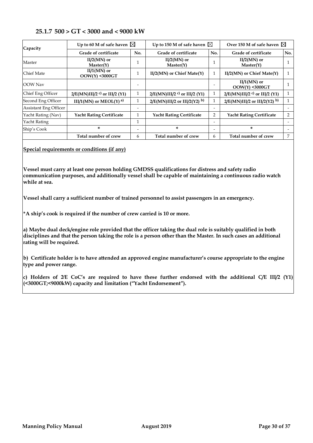#### **25.1.7 500 > GT < 3000 and < 9000 kW**

<span id="page-29-0"></span>

| Capacity                     | Up to 60 M of safe haven $\boxtimes$       |                          | Up to 150 M of safe haven $\boxtimes$      |                          | Over 150 M of safe haven $\boxtimes$       |     |
|------------------------------|--------------------------------------------|--------------------------|--------------------------------------------|--------------------------|--------------------------------------------|-----|
|                              | Grade of certificate                       | No.                      | Grade of certificate                       | No.                      | Grade of certificate                       | No. |
| Master                       | $II/2(MN)$ or<br>Master(Y)                 |                          | $II/2(MN)$ or<br>Master(Y)                 |                          | $II/2(MN)$ or<br>Master(Y)                 |     |
| Chief Mate                   | $II/1(MN)$ or<br>OOW(Y) <3000GT            |                          | $II/2(MN)$ or Chief Mate $(Y)$             | $\perp$                  | $II/2(MN)$ or Chief Mate $(Y)$             |     |
| OOW Nav                      |                                            |                          |                                            |                          | $II/1(MN)$ or<br>$OOW(Y)$ <3000GT          |     |
| Chief Eng Officer            | $2/E(MN)III/2$ <sup>c)</sup> or III/2 (Y1) | 1                        | $2/E(MN)III/2$ <sup>c)</sup> or III/2 (Y1) |                          | $2/E(MN)III/2$ <sup>c)</sup> or III/2 (Y1) | 1   |
| Second Eng Officer           | III/1(MN) or MEOL(Y) a)                    |                          | $2/E(MN)III/2$ or III/2(Y2) b)             |                          | $2/E(MN)III/2$ or $III/2(Y2)$ b)           |     |
| <b>Assistant Eng Officer</b> |                                            |                          |                                            |                          |                                            |     |
| Yacht Rating (Nav)           | <b>Yacht Rating Certificate</b>            |                          | <b>Yacht Rating Certificate</b>            | $\overline{2}$           | <b>Yacht Rating Certificate</b>            | 2   |
| Yacht Rating                 |                                            | 1                        |                                            | $\overline{\phantom{0}}$ |                                            |     |
| Ship's Cook                  | ×                                          | $\overline{\phantom{0}}$ | ×.                                         | $\overline{\phantom{0}}$ | *                                          |     |
|                              | Total number of crew                       | 6                        | Total number of crew                       | 6                        | Total number of crew                       | 7   |

**Special requirements or conditions (if any)**

**Vessel must carry at least one person holding GMDSS qualifications for distress and safety radio communication purposes, and additionally vessel shall be capable of maintaining a continuous radio watch while at sea.**

**Vessel shall carry a sufficient number of trained personnel to assist passengers in an emergency.**

**\*A ship's cook is required if the number of crew carried is 10 or more.**

**a) Maybe dual deck/engine role provided that the officer taking the dual role is suitably qualified in both disciplines and that the person taking the role is a person other than the Master. In such cases an additional rating will be required.** 

**b) Certificate holder is to have attended an approved engine manufacturer's course appropriate to the engine type and power range.**

**c) Holders of 2/ E CoC's are required to have these further endorsed with the additional C/E III/2 (Y1) (<3000GT;<9000kW) capacity and limitation ("Yacht Endorsement").**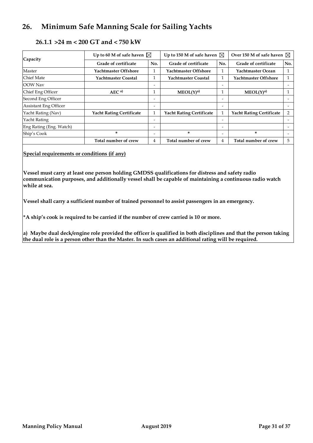## <span id="page-30-0"></span>**26. Minimum Safe Manning Scale for Sailing Yachts**

#### **26.1.1 >24 m < 200 GT and < 750 kW**

<span id="page-30-1"></span>

| Capacity                     | Up to 60 M of safe haven $\boxtimes$ |                          | Up to 150 M of safe haven $\boxtimes$ |     | Over 150 M of safe haven $\boxtimes$ |                          |
|------------------------------|--------------------------------------|--------------------------|---------------------------------------|-----|--------------------------------------|--------------------------|
|                              | Grade of certificate                 | No.                      | Grade of certificate                  | No. | Grade of certificate                 | No.                      |
| Master                       | <b>Yachtmaster Offshore</b>          |                          | <b>Yachtmaster Offshore</b>           |     | Yachtmaster Ocean                    |                          |
| <b>Chief Mate</b>            | Yachtmaster Coastal                  | 1                        | Yachtmaster Coastal                   | 1   | Yachtmaster Offshore                 |                          |
| <b>OOW</b> Nav               |                                      | $\overline{\phantom{a}}$ |                                       | -   |                                      |                          |
| Chief Eng Officer            | AEC <sup>a</sup>                     |                          | MEOL(Y) <sup>a</sup>                  |     | MEOL(Y) <sup>a</sup>                 |                          |
| Second Eng Officer           |                                      | $\overline{\phantom{a}}$ |                                       | -   |                                      |                          |
| <b>Assistant Eng Officer</b> |                                      | $\overline{\phantom{0}}$ |                                       | -   |                                      |                          |
| Yacht Rating (Nav)           | <b>Yacht Rating Certificate</b>      |                          | <b>Yacht Rating Certificate</b>       |     | <b>Yacht Rating Certificate</b>      | $\overline{2}$           |
| Yacht Rating                 |                                      | $\overline{\phantom{0}}$ |                                       | -   |                                      |                          |
| Eng Rating (Eng. Watch)      |                                      | $\overline{\phantom{0}}$ |                                       | -   |                                      |                          |
| Ship's Cook                  | *                                    | $\overline{\phantom{0}}$ | *                                     | -   | ×.                                   | $\overline{\phantom{0}}$ |
|                              | Total number of crew                 | 4                        | Total number of crew                  | 4   | Total number of crew                 | 5                        |

**Special requirements or conditions (if any)**

**Vessel must carry at least one person holding GMDSS qualifications for distress and safety radio communication purposes, and additionally vessel shall be capable of maintaining a continuous radio watch while at sea.**

**Vessel shall carry a sufficient number of trained personnel to assist passengers in an emergency.**

**\*A ship's cook is required to be carried if the number of crew carried is 10 or more.**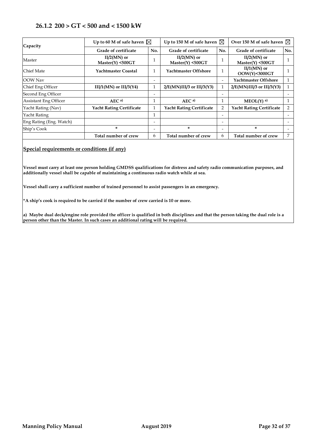#### **26.1.2 200 > GT < 500 and < 1500 kW**

| Capacity                     | Up to 60 M of safe haven $\boxtimes$ |                          | Up to 150 M of safe haven $\boxtimes$ |                          | Over 150 M of safe haven $\boxtimes$ |     |
|------------------------------|--------------------------------------|--------------------------|---------------------------------------|--------------------------|--------------------------------------|-----|
|                              | Grade of certificate                 | No.                      | Grade of certificate                  | No.                      | Grade of certificate                 | No. |
| Master                       | $II/2(MN)$ or<br>Master(Y) < 500GT   | 1                        | $II/2(MN)$ or<br>Master(Y) < 500GT    |                          | $II/2(MN)$ or<br>$Master(Y)$ <500GT  |     |
| Chief Mate                   | Yachtmaster Coastal                  | $\mathbf{1}$             | Yachtmaster Offshore                  |                          | $II/1(MN)$ or<br>OOW(Y)<3000GT       |     |
| OOW Nav                      |                                      | $\overline{\phantom{0}}$ |                                       | $\overline{\phantom{0}}$ | Yachtmaster Offshore                 |     |
| Chief Eng Officer            | III/1(MN) or III/3(Y4)               | $\mathbf{1}$             | $2/E(MN)III/3$ or $III/3(Y3)$         | 1                        | $2/E(MN)III/3$ or $III/3(Y3)$        |     |
| Second Eng Officer           |                                      |                          |                                       |                          |                                      |     |
| <b>Assistant Eng Officer</b> | AEC <sup>a</sup>                     | 1                        | AEC <sup>a</sup>                      |                          | $MEOL(Y)$ <sup>a)</sup>              |     |
| Yacht Rating (Nav)           | <b>Yacht Rating Certificate</b>      | $\mathbf{1}$             | <b>Yacht Rating Certificate</b>       | 2                        | <b>Yacht Rating Certificate</b>      | 2   |
| Yacht Rating                 |                                      | 1                        |                                       |                          |                                      |     |
| Eng Rating (Eng. Watch)      |                                      | $\overline{\phantom{a}}$ |                                       | $\overline{\phantom{0}}$ |                                      |     |
| Ship's Cook                  | *                                    | $\overline{\phantom{a}}$ | *                                     |                          | *                                    |     |
|                              | Total number of crew                 | 6                        | Total number of crew                  | 6                        | Total number of crew                 | 7   |

#### **Special requirements or conditions (if any)**

**Vessel must carry at least one person holding GMDSS qualifications for distress and safety radio communication purposes, and additionally vessel shall be capable of maintaining a continuous radio watch while at sea.**

**Vessel shall carry a sufficient number of trained personnel to assist passengers in an emergency.**

**\*A ship's cook is required to be carried if the number of crew carried is 10 or more.**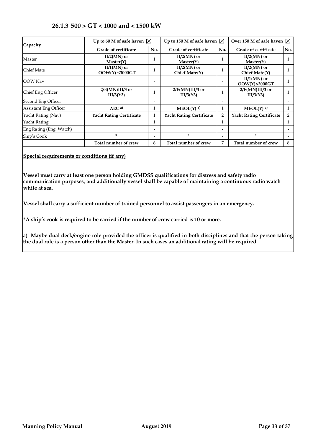<span id="page-32-0"></span>

| Capacity                     | Up to 60 M of safe haven $\boxtimes$      |                          | Up to 150 M of safe haven $\boxtimes$ |     | Over 150 M of safe haven $\boxtimes$ |                |
|------------------------------|-------------------------------------------|--------------------------|---------------------------------------|-----|--------------------------------------|----------------|
|                              | Grade of certificate                      | No.                      | Grade of certificate                  | No. | <b>Grade of certificate</b>          | No.            |
| Master                       | $II/2(MN)$ or<br>Master(Y)                |                          | $II/2(MN)$ or<br>Master(Y)            |     | $II/2(MN)$ or<br>Master(Y)           |                |
| <b>Chief Mate</b>            | $II/1(MN)$ or<br><b>OOW(Y) &lt;3000GT</b> |                          | $II/2(MN)$ or<br>Chief Mate(Y)        |     | $II/2(MN)$ or<br>Chief Mate(Y)       |                |
| OOW Nav                      |                                           | -                        |                                       |     | $II/1(MN)$ or<br>OOW(Y)<3000GT       |                |
| Chief Eng Officer            | $2/E(MN)III/3$ or<br>IIJ/3(Y3)            | $\mathbf{1}$             | $2/E(MN)III/3$ or<br>III/3(Y3)        | 1   | $2/E(MN)III/3$ or<br>III/3(Y3)       |                |
| Second Eng Officer           |                                           | $\overline{\phantom{a}}$ |                                       |     |                                      |                |
| <b>Assistant Eng Officer</b> | AEC <sup>a</sup>                          |                          | $MEOL(Y)$ <sup>a)</sup>               | 1   | $MEOL(Y)$ <sup>a)</sup>              |                |
| Yacht Rating (Nav)           | <b>Yacht Rating Certificate</b>           | $\mathbf{1}$             | <b>Yacht Rating Certificate</b>       | 2   | <b>Yacht Rating Certificate</b>      | $\overline{2}$ |
| Yacht Rating                 |                                           | $\mathbf 1$              |                                       | 1   |                                      |                |
| Eng Rating (Eng. Watch)      |                                           | -                        |                                       |     |                                      |                |
| Ship's Cook                  | *                                         | -                        | *                                     |     | *                                    |                |
|                              | Total number of crew                      | 6                        | Total number of crew                  | 7   | Total number of crew                 | 8              |

## **26.1.3 500 > GT < 1000 and < 1500 kW**

**Special requirements or conditions (if any)**

**Vessel must carry at least one person holding GMDSS qualifications for distress and safety radio communication purposes, and additionally vessel shall be capable of maintaining a continuous radio watch while at sea.**

**Vessel shall carry a sufficient number of trained personnel to assist passengers in an emergency.**

**\*A ship's cook is required to be carried if the number of crew carried is 10 or more.**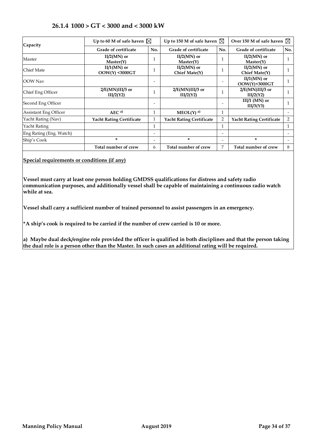<span id="page-33-0"></span>

| Capacity                     | Up to 60 M of safe haven $\boxtimes$ |                              | Up to 150 M of safe haven $\boxtimes$ |                | Over 150 M of safe haven $\boxtimes$ |     |
|------------------------------|--------------------------------------|------------------------------|---------------------------------------|----------------|--------------------------------------|-----|
|                              | Grade of certificate                 | No.                          | Grade of certificate                  | No.            | Grade of certificate                 | No. |
| Master                       | $II/2(MN)$ or<br>Master(Y)           | 1                            | $II/2(MN)$ or<br>Master(Y)            | 1              | $II/2(MN)$ or<br>Master(Y)           |     |
| Chief Mate                   | $II/1(MN)$ or<br>$OOW(Y)$ <3000GT    | 1                            | $II/2(MN)$ or<br>Chief Mate $(Y)$     |                | $II/2(MN)$ or<br>Chief Mate(Y)       |     |
| <b>OOW</b> Nav               |                                      |                              |                                       |                | $II/1(MN)$ or<br>OOW(Y)<3000GT       |     |
| Chief Eng Officer            | 2/E(MN)III/3 or<br>III/2(Y2)         | $\mathbf{1}$                 | $2/E(MN)III/3$ or<br>IIJ/2(Y2)        |                | $2/E(MN)III/3$ or<br>III/2(Y2)       |     |
| Second Eng Officer           |                                      | -                            |                                       |                | $III/1$ (MN) or<br>III/3(Y3)         |     |
| <b>Assistant Eng Officer</b> | AEC <sup>a</sup>                     | $\mathbf{1}$                 | $MEOL(Y)$ <sup>a)</sup>               | 1              |                                      |     |
| Yacht Rating (Nav)           | <b>Yacht Rating Certificate</b>      | $\mathbf{1}$                 | <b>Yacht Rating Certificate</b>       | $\overline{2}$ | <b>Yacht Rating Certificate</b>      | 2   |
| Yacht Rating                 |                                      | $\mathbf{1}$                 |                                       |                |                                      |     |
| Eng Rating (Eng. Watch)      |                                      | $\qquad \qquad \blacksquare$ |                                       | -              |                                      |     |
| Ship's Cook                  | *                                    | $\overline{\phantom{a}}$     | *                                     | -              | *                                    |     |
|                              | Total number of crew                 | 6                            | Total number of crew                  | 7              | Total number of crew                 | 8   |

## **26.1.4 1000 > GT < 3000 and < 3000 kW**

**Special requirements or conditions (if any)**

**Vessel must carry at least one person holding GMDSS qualifications for distress and safety radio communication purposes, and additionally vessel shall be capable of maintaining a continuous radio watch while at sea.**

**Vessel shall carry a sufficient number of trained personnel to assist passengers in an emergency.**

**\*A ship's cook is required to be carried if the number of crew carried is 10 or more.**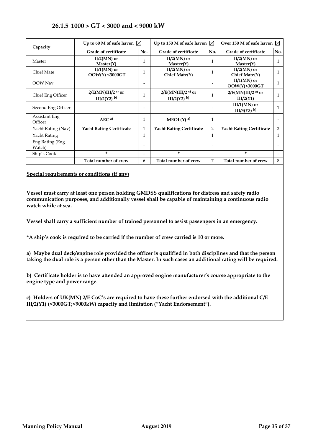## **26.1.5 1000 > GT < 3000 and < 9000 kW**

<span id="page-34-0"></span>

| Capacity                   | Up to 60 M of safe haven $\boxtimes$                         |                          | Up to 150 M of safe haven $\boxtimes$             |                          | Over 150 M of safe haven $\boxtimes$         |     |
|----------------------------|--------------------------------------------------------------|--------------------------|---------------------------------------------------|--------------------------|----------------------------------------------|-----|
|                            | Grade of certificate                                         | No.                      | Grade of certificate                              | No.                      | Grade of certificate                         | No. |
| Master                     | $II/2(MN)$ or<br>Master(Y)                                   | 1                        | $II/2(MN)$ or<br>Master(Y)                        | $\mathbf{1}$             | $II/2(MN)$ or<br>Master(Y)                   | 1   |
| <b>Chief Mate</b>          | $II/1(MN)$ or<br>$OOW(Y)$ <3000GT                            | 1                        | $II/2(MN)$ or<br>Chief Mate(Y)                    | $\mathbf{1}$             | $II/2(MN)$ or<br>Chief Mate(Y)               |     |
| <b>OOW</b> Nav             |                                                              | $\overline{\phantom{0}}$ |                                                   | $\overline{\phantom{0}}$ | $II/1(MN)$ or<br>OOW(Y)<3000GT               | 1   |
| Chief Eng Officer          | $2/E(MN)III/2$ <sup>c)</sup> or<br>$III/2(Y2)$ <sup>b)</sup> | $\mathbf{1}$             | $2/E(MN)III/2$ <sup>c)</sup> or<br>$III/2(Y2)$ b) | $\mathbf{1}$             | $2/E(MN)III/2$ <sup>c)</sup> or<br>IIJ/2(Y1) | 1   |
| Second Eng Officer         |                                                              | $\overline{\phantom{a}}$ |                                                   | $\overline{\phantom{a}}$ | $IIJ/(MN)$ or<br>$IIJ/3(Y3)$ <sup>b)</sup>   |     |
| Assistant Eng<br>Officer   | AEC <sup>a</sup>                                             | 1                        | $MEOL(Y)$ <sup>a)</sup>                           | 1                        |                                              |     |
| Yacht Rating (Nav)         | <b>Yacht Rating Certificate</b>                              | $\mathbf{1}$             | <b>Yacht Rating Certificate</b>                   | $\overline{2}$           | <b>Yacht Rating Certificate</b>              | 2   |
| Yacht Rating               |                                                              | 1                        |                                                   | $\mathbf{1}$             |                                              | 1   |
| Eng Rating (Eng.<br>Watch) |                                                              | $\overline{\phantom{0}}$ |                                                   | $\overline{\phantom{a}}$ |                                              |     |
| Ship's Cook                | *                                                            | $\overline{\phantom{a}}$ | *                                                 | $\overline{\phantom{a}}$ | *                                            |     |
|                            | Total number of crew                                         | 6                        | Total number of crew                              | 7                        | Total number of crew                         | 8   |

**Special requirements or conditions (if any)**

**Vessel must carry at least one person holding GMDSS qualifications for distress and safety radio communication purposes, and additionally vessel shall be capable of maintaining a continuous radio watch while at sea.**

**Vessel shall carry a sufficient number of trained personnel to assist passengers in an emergency.**

**\*A ship's cook is required to be carried if the number of crew carried is 10 or more.**

**a) Maybe dual deck/engine role provided the officer is qualified in both disciplines and that the person taking the dual role is a person other than the Master. In such cases an additional rating will be required.** 

**b) Certificate holder is to have attended an approved engine manufacturer's course appropriate to the engine type and power range.**

**c) Holders of UK(MN) 2/E CoC's are required to have these further endorsed with the additional C/E III/2(Y1) (<3000GT;<9000kW) capacity and limitation ("Yacht Endorsement").**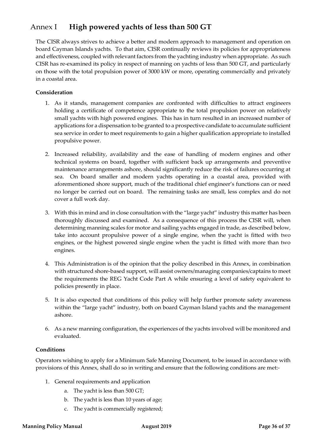## <span id="page-35-0"></span>Annex I **High powered yachts of less than 500 GT**

The CISR always strives to achieve a better and modern approach to management and operation on board Cayman Islands yachts. To that aim, CISR continually reviews its policies for appropriateness and effectiveness, coupled with relevant factors from the yachting industry when appropriate. As such CISR has re-examined its policy in respect of manning on yachts of less than 500 GT, and particularly on those with the total propulsion power of 3000 kW or more, operating commercially and privately in a coastal area.

#### **Consideration**

- 1. As it stands, management companies are confronted with difficulties to attract engineers holding a certificate of competence appropriate to the total propulsion power on relatively small yachts with high powered engines. This has in turn resulted in an increased number of applications for a dispensation to be granted to a prospective candidate to accumulate sufficient sea service in order to meet requirements to gain a higher qualification appropriate to installed propulsive power.
- 2. Increased reliability, availability and the ease of handling of modern engines and other technical systems on board, together with sufficient back up arrangements and preventive maintenance arrangements ashore, should significantly reduce the risk of failures occurring at sea. On board smaller and modern yachts operating in a coastal area, provided with aforementioned shore support, much of the traditional chief engineer's functions can or need no longer be carried out on board. The remaining tasks are small, less complex and do not cover a full work day.
- 3. With this in mind and in close consultation with the "large yacht" industry this matter has been thoroughly discussed and examined. As a consequence of this process the CISR will, when determining manning scales for motor and sailing yachts engaged in trade, as described below, take into account propulsive power of a single engine, when the yacht is fitted with two engines, or the highest powered single engine when the yacht is fitted with more than two engines.
- 4. This Administration is of the opinion that the policy described in this Annex, in combination with structured shore-based support, will assist owners/managing companies/captains to meet the requirements the REG Yacht Code Part A while ensuring a level of safety equivalent to policies presently in place.
- 5. It is also expected that conditions of this policy will help further promote safety awareness within the "large yacht" industry, both on board Cayman Island yachts and the management ashore.
- 6. As a new manning configuration, the experiences of the yachts involved will be monitored and evaluated.

#### **Conditions**

Operators wishing to apply for a Minimum Safe Manning Document, to be issued in accordance with provisions of this Annex, shall do so in writing and ensure that the following conditions are met:-

- 1. General requirements and application
	- a. The yacht is less than 500 GT;
	- b. The yacht is less than 10 years of age;
	- c. The yacht is commercially registered;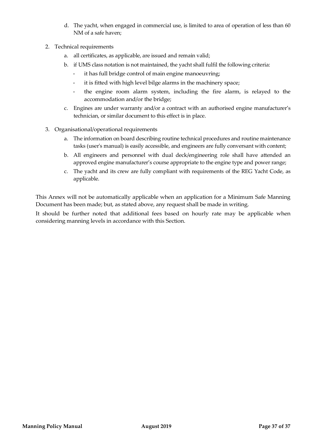- d. The yacht, when engaged in commercial use, is limited to area of operation of less than 60 NM of a safe haven;
- 2. Technical requirements
	- a. all certificates, as applicable, are issued and remain valid;
	- b. if UMS class notation is not maintained, the yacht shall fulfil the following criteria:
		- it has full bridge control of main engine manoeuvring;
		- it is fitted with high level bilge alarms in the machinery space;
		- the engine room alarm system, including the fire alarm, is relayed to the accommodation and/or the bridge;
	- c. Engines are under warranty and/or a contract with an authorised engine manufacturer's technician, or similar document to this effect is in place.
- 3. Organisational/operational requirements
	- a. The information on board describing routine technical procedures and routine maintenance tasks (user's manual) is easily accessible, and engineers are fully conversant with content;
	- b. All engineers and personnel with dual deck/engineering role shall have attended an approved engine manufacturer's course appropriate to the engine type and power range;
	- c. The yacht and its crew are fully compliant with requirements of the REG Yacht Code, as applicable.

This Annex will not be automatically applicable when an application for a Minimum Safe Manning Document has been made; but, as stated above, any request shall be made in writing.

It should be further noted that additional fees based on hourly rate may be applicable when considering manning levels in accordance with this Section.